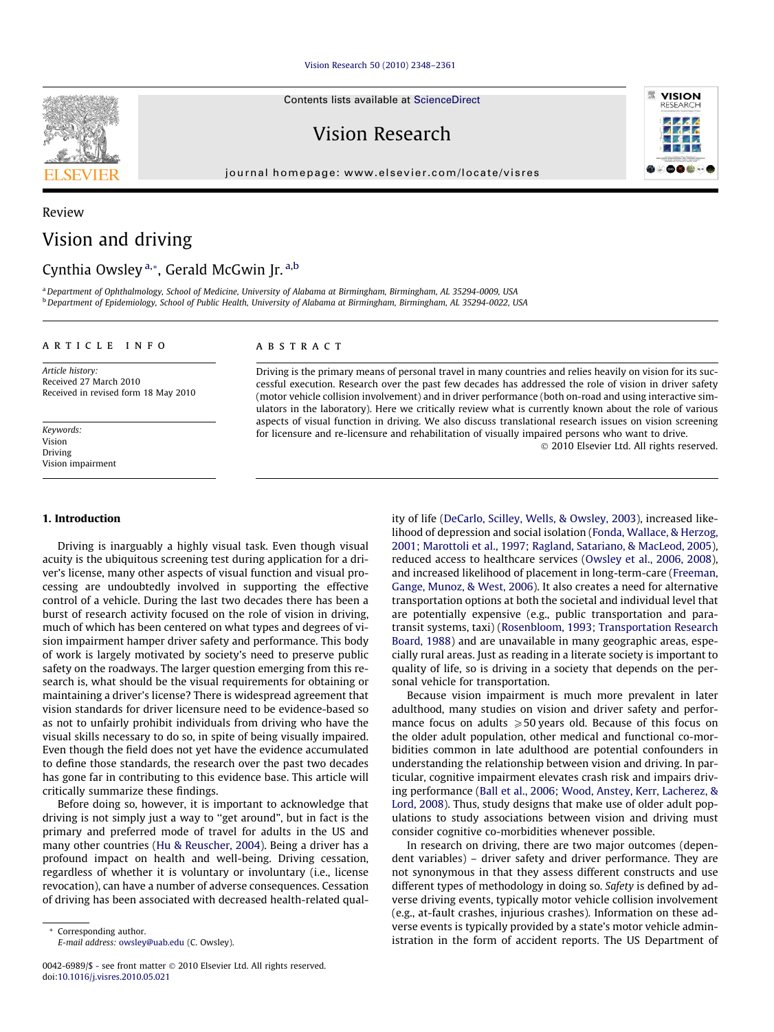[Vision Research 50 \(2010\) 2348–2361](http://dx.doi.org/10.1016/j.visres.2010.05.021)

Contents lists available at [ScienceDirect](http://www.sciencedirect.com/science/journal/00426989)

Vision Research

journal homepage: [www.elsevier.com/locate/visres](http://www.elsevier.com/locate/visres)



Review



# Vision and driving

# Cynthia Owsley <sup>a,</sup>\*, Gerald McGwin Jr. <sup>a,b</sup>

a Department of Ophthalmology, School of Medicine, University of Alabama at Birmingham, Birmingham, AL 35294-0009, USA <sup>b</sup> Department of Epidemiology, School of Public Health, University of Alabama at Birmingham, Birmingham, AL 35294-0022, USA

# article info

Article history: Received 27 March 2010 Received in revised form 18 May 2010

Keywords: Vision Driving Vision impairment

## **ABSTRACT**

Driving is the primary means of personal travel in many countries and relies heavily on vision for its successful execution. Research over the past few decades has addressed the role of vision in driver safety (motor vehicle collision involvement) and in driver performance (both on-road and using interactive simulators in the laboratory). Here we critically review what is currently known about the role of various aspects of visual function in driving. We also discuss translational research issues on vision screening for licensure and re-licensure and rehabilitation of visually impaired persons who want to drive. - 2010 Elsevier Ltd. All rights reserved.

## 1. Introduction

Driving is inarguably a highly visual task. Even though visual acuity is the ubiquitous screening test during application for a driver's license, many other aspects of visual function and visual processing are undoubtedly involved in supporting the effective control of a vehicle. During the last two decades there has been a burst of research activity focused on the role of vision in driving, much of which has been centered on what types and degrees of vision impairment hamper driver safety and performance. This body of work is largely motivated by society's need to preserve public safety on the roadways. The larger question emerging from this research is, what should be the visual requirements for obtaining or maintaining a driver's license? There is widespread agreement that vision standards for driver licensure need to be evidence-based so as not to unfairly prohibit individuals from driving who have the visual skills necessary to do so, in spite of being visually impaired. Even though the field does not yet have the evidence accumulated to define those standards, the research over the past two decades has gone far in contributing to this evidence base. This article will critically summarize these findings.

Before doing so, however, it is important to acknowledge that driving is not simply just a way to ''get around", but in fact is the primary and preferred mode of travel for adults in the US and many other countries [\(Hu & Reuscher, 2004](#page-11-0)). Being a driver has a profound impact on health and well-being. Driving cessation, regardless of whether it is voluntary or involuntary (i.e., license revocation), can have a number of adverse consequences. Cessation of driving has been associated with decreased health-related qual-

\* Corresponding author. E-mail address: [owsley@uab.edu](mailto:owsley@uab.edu) (C. Owsley). ity of life ([DeCarlo, Scilley, Wells, & Owsley, 2003\)](#page-10-0), increased likelihood of depression and social isolation [\(Fonda, Wallace, & Herzog,](#page-11-0) [2001; Marottoli et al., 1997; Ragland, Satariano, & MacLeod, 2005\)](#page-11-0), reduced access to healthcare services ([Owsley et al., 2006, 2008\)](#page-12-0), and increased likelihood of placement in long-term-care [\(Freeman,](#page-11-0) [Gange, Munoz, & West, 2006](#page-11-0)). It also creates a need for alternative transportation options at both the societal and individual level that are potentially expensive (e.g., public transportation and paratransit systems, taxi) [\(Rosenbloom, 1993; Transportation Research](#page-12-0) [Board, 1988](#page-12-0)) and are unavailable in many geographic areas, especially rural areas. Just as reading in a literate society is important to quality of life, so is driving in a society that depends on the personal vehicle for transportation.

Because vision impairment is much more prevalent in later adulthood, many studies on vision and driver safety and performance focus on adults  $\geqslant$  50 years old. Because of this focus on the older adult population, other medical and functional co-morbidities common in late adulthood are potential confounders in understanding the relationship between vision and driving. In particular, cognitive impairment elevates crash risk and impairs driving performance [\(Ball et al., 2006; Wood, Anstey, Kerr, Lacherez, &](#page-10-0) [Lord, 2008\)](#page-10-0). Thus, study designs that make use of older adult populations to study associations between vision and driving must consider cognitive co-morbidities whenever possible.

In research on driving, there are two major outcomes (dependent variables) – driver safety and driver performance. They are not synonymous in that they assess different constructs and use different types of methodology in doing so. Safety is defined by adverse driving events, typically motor vehicle collision involvement (e.g., at-fault crashes, injurious crashes). Information on these adverse events is typically provided by a state's motor vehicle administration in the form of accident reports. The US Department of

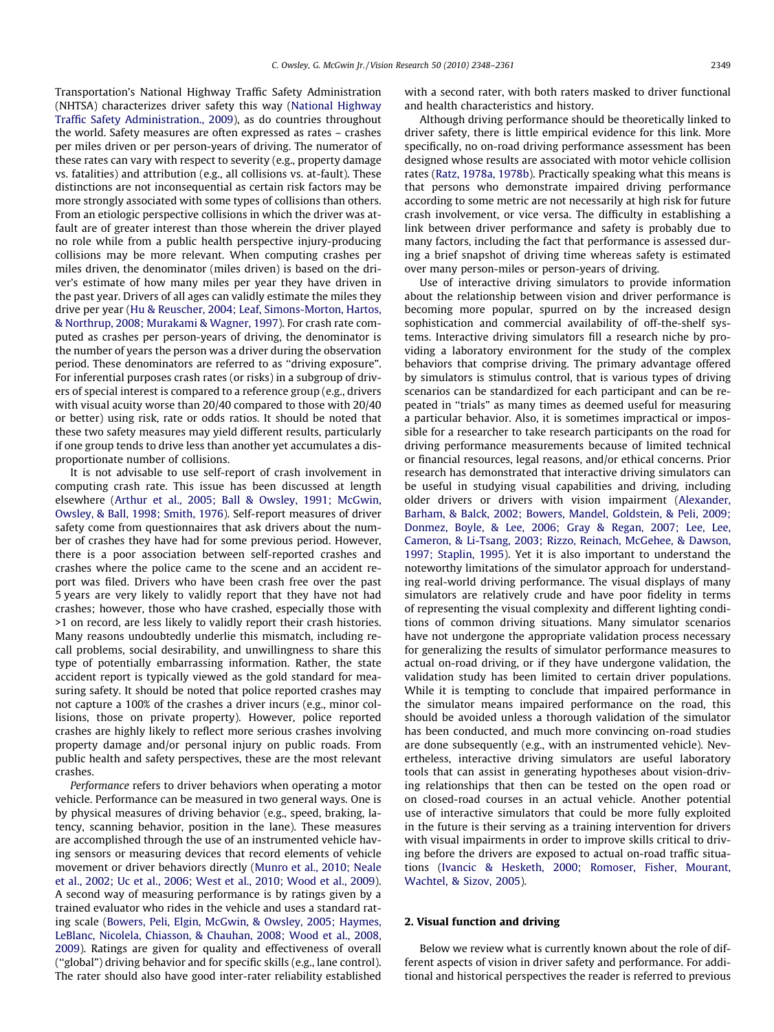Transportation's National Highway Traffic Safety Administration (NHTSA) characterizes driver safety this way [\(National Highway](#page-12-0) [Traffic Safety Administration., 2009\)](#page-12-0), as do countries throughout the world. Safety measures are often expressed as rates – crashes per miles driven or per person-years of driving. The numerator of these rates can vary with respect to severity (e.g., property damage vs. fatalities) and attribution (e.g., all collisions vs. at-fault). These distinctions are not inconsequential as certain risk factors may be more strongly associated with some types of collisions than others. From an etiologic perspective collisions in which the driver was atfault are of greater interest than those wherein the driver played no role while from a public health perspective injury-producing collisions may be more relevant. When computing crashes per miles driven, the denominator (miles driven) is based on the driver's estimate of how many miles per year they have driven in the past year. Drivers of all ages can validly estimate the miles they drive per year [\(Hu & Reuscher, 2004; Leaf, Simons-Morton, Hartos,](#page-11-0) [& Northrup, 2008; Murakami & Wagner, 1997](#page-11-0)). For crash rate computed as crashes per person-years of driving, the denominator is the number of years the person was a driver during the observation period. These denominators are referred to as ''driving exposure". For inferential purposes crash rates (or risks) in a subgroup of drivers of special interest is compared to a reference group (e.g., drivers with visual acuity worse than 20/40 compared to those with 20/40 or better) using risk, rate or odds ratios. It should be noted that these two safety measures may yield different results, particularly if one group tends to drive less than another yet accumulates a disproportionate number of collisions.

It is not advisable to use self-report of crash involvement in computing crash rate. This issue has been discussed at length elsewhere [\(Arthur et al., 2005; Ball & Owsley, 1991; McGwin,](#page-10-0) [Owsley, & Ball, 1998; Smith, 1976](#page-10-0)). Self-report measures of driver safety come from questionnaires that ask drivers about the number of crashes they have had for some previous period. However, there is a poor association between self-reported crashes and crashes where the police came to the scene and an accident report was filed. Drivers who have been crash free over the past 5 years are very likely to validly report that they have not had crashes; however, those who have crashed, especially those with >1 on record, are less likely to validly report their crash histories. Many reasons undoubtedly underlie this mismatch, including recall problems, social desirability, and unwillingness to share this type of potentially embarrassing information. Rather, the state accident report is typically viewed as the gold standard for measuring safety. It should be noted that police reported crashes may not capture a 100% of the crashes a driver incurs (e.g., minor collisions, those on private property). However, police reported crashes are highly likely to reflect more serious crashes involving property damage and/or personal injury on public roads. From public health and safety perspectives, these are the most relevant crashes.

Performance refers to driver behaviors when operating a motor vehicle. Performance can be measured in two general ways. One is by physical measures of driving behavior (e.g., speed, braking, latency, scanning behavior, position in the lane). These measures are accomplished through the use of an instrumented vehicle having sensors or measuring devices that record elements of vehicle movement or driver behaviors directly [\(Munro et al., 2010; Neale](#page-12-0) [et al., 2002; Uc et al., 2006; West et al., 2010; Wood et al., 2009\)](#page-12-0). A second way of measuring performance is by ratings given by a trained evaluator who rides in the vehicle and uses a standard rating scale [\(Bowers, Peli, Elgin, McGwin, & Owsley, 2005; Haymes,](#page-10-0) [LeBlanc, Nicolela, Chiasson, & Chauhan, 2008; Wood et al., 2008,](#page-10-0) [2009](#page-10-0)). Ratings are given for quality and effectiveness of overall (''global") driving behavior and for specific skills (e.g., lane control). The rater should also have good inter-rater reliability established with a second rater, with both raters masked to driver functional and health characteristics and history.

Although driving performance should be theoretically linked to driver safety, there is little empirical evidence for this link. More specifically, no on-road driving performance assessment has been designed whose results are associated with motor vehicle collision rates [\(Ratz, 1978a, 1978b](#page-12-0)). Practically speaking what this means is that persons who demonstrate impaired driving performance according to some metric are not necessarily at high risk for future crash involvement, or vice versa. The difficulty in establishing a link between driver performance and safety is probably due to many factors, including the fact that performance is assessed during a brief snapshot of driving time whereas safety is estimated over many person-miles or person-years of driving.

Use of interactive driving simulators to provide information about the relationship between vision and driver performance is becoming more popular, spurred on by the increased design sophistication and commercial availability of off-the-shelf systems. Interactive driving simulators fill a research niche by providing a laboratory environment for the study of the complex behaviors that comprise driving. The primary advantage offered by simulators is stimulus control, that is various types of driving scenarios can be standardized for each participant and can be repeated in ''trials" as many times as deemed useful for measuring a particular behavior. Also, it is sometimes impractical or impossible for a researcher to take research participants on the road for driving performance measurements because of limited technical or financial resources, legal reasons, and/or ethical concerns. Prior research has demonstrated that interactive driving simulators can be useful in studying visual capabilities and driving, including older drivers or drivers with vision impairment [\(Alexander,](#page-10-0) [Barham, & Balck, 2002; Bowers, Mandel, Goldstein, & Peli, 2009;](#page-10-0) [Donmez, Boyle, & Lee, 2006; Gray & Regan, 2007; Lee, Lee,](#page-10-0) [Cameron, & Li-Tsang, 2003; Rizzo, Reinach, McGehee, & Dawson,](#page-10-0) [1997; Staplin, 1995](#page-10-0)). Yet it is also important to understand the noteworthy limitations of the simulator approach for understanding real-world driving performance. The visual displays of many simulators are relatively crude and have poor fidelity in terms of representing the visual complexity and different lighting conditions of common driving situations. Many simulator scenarios have not undergone the appropriate validation process necessary for generalizing the results of simulator performance measures to actual on-road driving, or if they have undergone validation, the validation study has been limited to certain driver populations. While it is tempting to conclude that impaired performance in the simulator means impaired performance on the road, this should be avoided unless a thorough validation of the simulator has been conducted, and much more convincing on-road studies are done subsequently (e.g., with an instrumented vehicle). Nevertheless, interactive driving simulators are useful laboratory tools that can assist in generating hypotheses about vision-driving relationships that then can be tested on the open road or on closed-road courses in an actual vehicle. Another potential use of interactive simulators that could be more fully exploited in the future is their serving as a training intervention for drivers with visual impairments in order to improve skills critical to driving before the drivers are exposed to actual on-road traffic situations [\(Ivancic & Hesketh, 2000; Romoser, Fisher, Mourant,](#page-11-0) [Wachtel, & Sizov, 2005\)](#page-11-0).

## 2. Visual function and driving

Below we review what is currently known about the role of different aspects of vision in driver safety and performance. For additional and historical perspectives the reader is referred to previous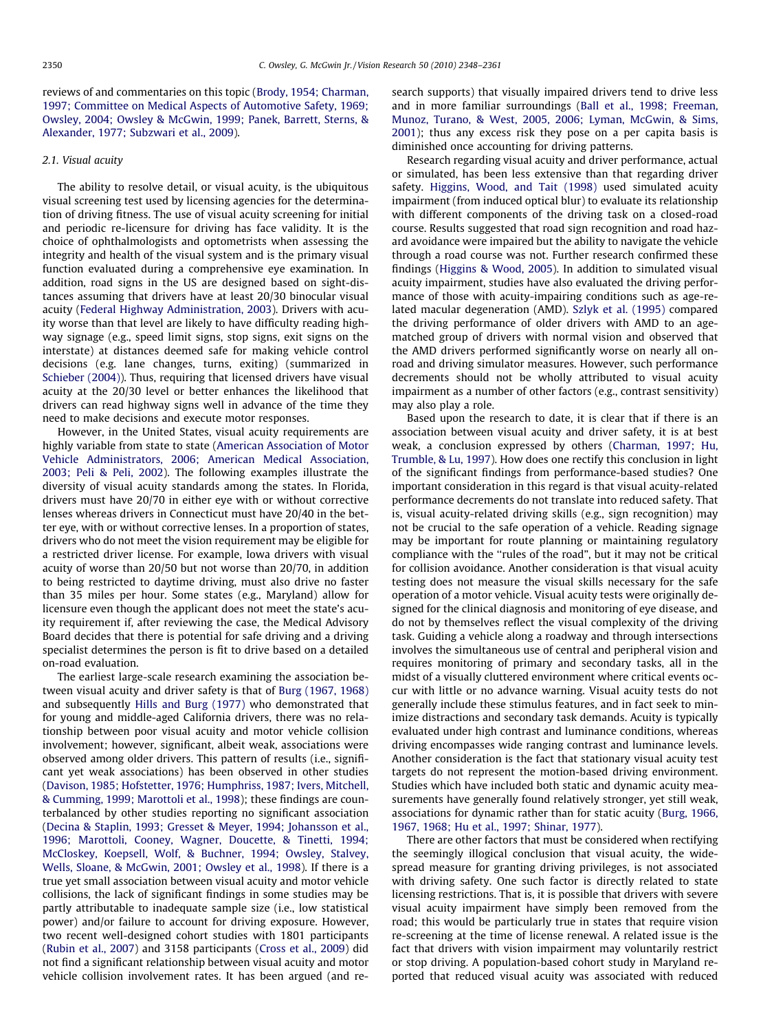reviews of and commentaries on this topic ([Brody, 1954; Charman,](#page-10-0) [1997; Committee on Medical Aspects of Automotive Safety, 1969;](#page-10-0) [Owsley, 2004; Owsley & McGwin, 1999; Panek, Barrett, Sterns, &](#page-10-0) [Alexander, 1977; Subzwari et al., 2009\)](#page-10-0).

# 2.1. Visual acuity

The ability to resolve detail, or visual acuity, is the ubiquitous visual screening test used by licensing agencies for the determination of driving fitness. The use of visual acuity screening for initial and periodic re-licensure for driving has face validity. It is the choice of ophthalmologists and optometrists when assessing the integrity and health of the visual system and is the primary visual function evaluated during a comprehensive eye examination. In addition, road signs in the US are designed based on sight-distances assuming that drivers have at least 20/30 binocular visual acuity ([Federal Highway Administration, 2003](#page-11-0)). Drivers with acuity worse than that level are likely to have difficulty reading highway signage (e.g., speed limit signs, stop signs, exit signs on the interstate) at distances deemed safe for making vehicle control decisions (e.g. lane changes, turns, exiting) (summarized in [Schieber \(2004\)\)](#page-12-0). Thus, requiring that licensed drivers have visual acuity at the 20/30 level or better enhances the likelihood that drivers can read highway signs well in advance of the time they need to make decisions and execute motor responses.

However, in the United States, visual acuity requirements are highly variable from state to state ([American Association of Motor](#page-10-0) [Vehicle Administrators, 2006; American Medical Association,](#page-10-0) [2003; Peli & Peli, 2002\)](#page-10-0). The following examples illustrate the diversity of visual acuity standards among the states. In Florida, drivers must have 20/70 in either eye with or without corrective lenses whereas drivers in Connecticut must have 20/40 in the better eye, with or without corrective lenses. In a proportion of states, drivers who do not meet the vision requirement may be eligible for a restricted driver license. For example, Iowa drivers with visual acuity of worse than 20/50 but not worse than 20/70, in addition to being restricted to daytime driving, must also drive no faster than 35 miles per hour. Some states (e.g., Maryland) allow for licensure even though the applicant does not meet the state's acuity requirement if, after reviewing the case, the Medical Advisory Board decides that there is potential for safe driving and a driving specialist determines the person is fit to drive based on a detailed on-road evaluation.

The earliest large-scale research examining the association between visual acuity and driver safety is that of [Burg \(1967, 1968\)](#page-10-0) and subsequently [Hills and Burg \(1977\)](#page-11-0) who demonstrated that for young and middle-aged California drivers, there was no relationship between poor visual acuity and motor vehicle collision involvement; however, significant, albeit weak, associations were observed among older drivers. This pattern of results (i.e., significant yet weak associations) has been observed in other studies ([Davison, 1985; Hofstetter, 1976; Humphriss, 1987; Ivers, Mitchell,](#page-10-0) [& Cumming, 1999; Marottoli et al., 1998\)](#page-10-0); these findings are counterbalanced by other studies reporting no significant association ([Decina & Staplin, 1993; Gresset & Meyer, 1994; Johansson et al.,](#page-11-0) [1996; Marottoli, Cooney, Wagner, Doucette, & Tinetti, 1994;](#page-11-0) [McCloskey, Koepsell, Wolf, & Buchner, 1994; Owsley, Stalvey,](#page-11-0) [Wells, Sloane, & McGwin, 2001; Owsley et al., 1998\)](#page-11-0). If there is a true yet small association between visual acuity and motor vehicle collisions, the lack of significant findings in some studies may be partly attributable to inadequate sample size (i.e., low statistical power) and/or failure to account for driving exposure. However, two recent well-designed cohort studies with 1801 participants ([Rubin et al., 2007\)](#page-12-0) and 3158 participants ([Cross et al., 2009\)](#page-10-0) did not find a significant relationship between visual acuity and motor vehicle collision involvement rates. It has been argued (and research supports) that visually impaired drivers tend to drive less and in more familiar surroundings ([Ball et al., 1998; Freeman,](#page-10-0) [Munoz, Turano, & West, 2005, 2006; Lyman, McGwin, & Sims,](#page-10-0) [2001\)](#page-10-0); thus any excess risk they pose on a per capita basis is diminished once accounting for driving patterns.

Research regarding visual acuity and driver performance, actual or simulated, has been less extensive than that regarding driver safety. [Higgins, Wood, and Tait \(1998\)](#page-11-0) used simulated acuity impairment (from induced optical blur) to evaluate its relationship with different components of the driving task on a closed-road course. Results suggested that road sign recognition and road hazard avoidance were impaired but the ability to navigate the vehicle through a road course was not. Further research confirmed these findings [\(Higgins & Wood, 2005](#page-11-0)). In addition to simulated visual acuity impairment, studies have also evaluated the driving performance of those with acuity-impairing conditions such as age-related macular degeneration (AMD). [Szlyk et al. \(1995\)](#page-13-0) compared the driving performance of older drivers with AMD to an agematched group of drivers with normal vision and observed that the AMD drivers performed significantly worse on nearly all onroad and driving simulator measures. However, such performance decrements should not be wholly attributed to visual acuity impairment as a number of other factors (e.g., contrast sensitivity) may also play a role.

Based upon the research to date, it is clear that if there is an association between visual acuity and driver safety, it is at best weak, a conclusion expressed by others ([Charman, 1997; Hu,](#page-10-0) [Trumble, & Lu, 1997\)](#page-10-0). How does one rectify this conclusion in light of the significant findings from performance-based studies? One important consideration in this regard is that visual acuity-related performance decrements do not translate into reduced safety. That is, visual acuity-related driving skills (e.g., sign recognition) may not be crucial to the safe operation of a vehicle. Reading signage may be important for route planning or maintaining regulatory compliance with the ''rules of the road", but it may not be critical for collision avoidance. Another consideration is that visual acuity testing does not measure the visual skills necessary for the safe operation of a motor vehicle. Visual acuity tests were originally designed for the clinical diagnosis and monitoring of eye disease, and do not by themselves reflect the visual complexity of the driving task. Guiding a vehicle along a roadway and through intersections involves the simultaneous use of central and peripheral vision and requires monitoring of primary and secondary tasks, all in the midst of a visually cluttered environment where critical events occur with little or no advance warning. Visual acuity tests do not generally include these stimulus features, and in fact seek to minimize distractions and secondary task demands. Acuity is typically evaluated under high contrast and luminance conditions, whereas driving encompasses wide ranging contrast and luminance levels. Another consideration is the fact that stationary visual acuity test targets do not represent the motion-based driving environment. Studies which have included both static and dynamic acuity measurements have generally found relatively stronger, yet still weak, associations for dynamic rather than for static acuity ([Burg, 1966,](#page-10-0) [1967, 1968; Hu et al., 1997; Shinar, 1977](#page-10-0)).

There are other factors that must be considered when rectifying the seemingly illogical conclusion that visual acuity, the widespread measure for granting driving privileges, is not associated with driving safety. One such factor is directly related to state licensing restrictions. That is, it is possible that drivers with severe visual acuity impairment have simply been removed from the road; this would be particularly true in states that require vision re-screening at the time of license renewal. A related issue is the fact that drivers with vision impairment may voluntarily restrict or stop driving. A population-based cohort study in Maryland reported that reduced visual acuity was associated with reduced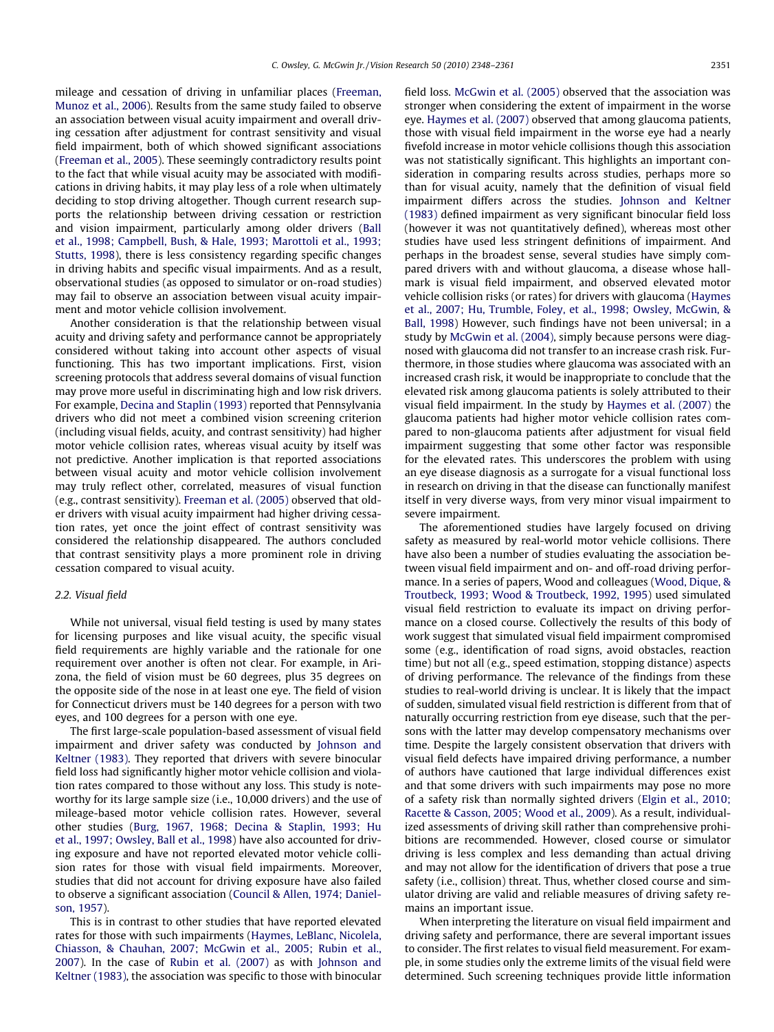mileage and cessation of driving in unfamiliar places ([Freeman,](#page-11-0) [Munoz et al., 2006\)](#page-11-0). Results from the same study failed to observe an association between visual acuity impairment and overall driving cessation after adjustment for contrast sensitivity and visual field impairment, both of which showed significant associations ([Freeman et al., 2005\)](#page-11-0). These seemingly contradictory results point to the fact that while visual acuity may be associated with modifications in driving habits, it may play less of a role when ultimately deciding to stop driving altogether. Though current research supports the relationship between driving cessation or restriction and vision impairment, particularly among older drivers [\(Ball](#page-10-0) [et al., 1998; Campbell, Bush, & Hale, 1993; Marottoli et al., 1993;](#page-10-0) [Stutts, 1998\)](#page-10-0), there is less consistency regarding specific changes in driving habits and specific visual impairments. And as a result, observational studies (as opposed to simulator or on-road studies) may fail to observe an association between visual acuity impairment and motor vehicle collision involvement.

Another consideration is that the relationship between visual acuity and driving safety and performance cannot be appropriately considered without taking into account other aspects of visual functioning. This has two important implications. First, vision screening protocols that address several domains of visual function may prove more useful in discriminating high and low risk drivers. For example, [Decina and Staplin \(1993\)](#page-11-0) reported that Pennsylvania drivers who did not meet a combined vision screening criterion (including visual fields, acuity, and contrast sensitivity) had higher motor vehicle collision rates, whereas visual acuity by itself was not predictive. Another implication is that reported associations between visual acuity and motor vehicle collision involvement may truly reflect other, correlated, measures of visual function (e.g., contrast sensitivity). [Freeman et al. \(2005\)](#page-11-0) observed that older drivers with visual acuity impairment had higher driving cessation rates, yet once the joint effect of contrast sensitivity was considered the relationship disappeared. The authors concluded that contrast sensitivity plays a more prominent role in driving cessation compared to visual acuity.

#### 2.2. Visual field

While not universal, visual field testing is used by many states for licensing purposes and like visual acuity, the specific visual field requirements are highly variable and the rationale for one requirement over another is often not clear. For example, in Arizona, the field of vision must be 60 degrees, plus 35 degrees on the opposite side of the nose in at least one eye. The field of vision for Connecticut drivers must be 140 degrees for a person with two eyes, and 100 degrees for a person with one eye.

The first large-scale population-based assessment of visual field impairment and driver safety was conducted by [Johnson and](#page-11-0) [Keltner \(1983\).](#page-11-0) They reported that drivers with severe binocular field loss had significantly higher motor vehicle collision and violation rates compared to those without any loss. This study is noteworthy for its large sample size (i.e., 10,000 drivers) and the use of mileage-based motor vehicle collision rates. However, several other studies ([Burg, 1967, 1968; Decina & Staplin, 1993; Hu](#page-10-0) [et al., 1997; Owsley, Ball et al., 1998\)](#page-10-0) have also accounted for driving exposure and have not reported elevated motor vehicle collision rates for those with visual field impairments. Moreover, studies that did not account for driving exposure have also failed to observe a significant association [\(Council & Allen, 1974; Daniel](#page-10-0)[son, 1957](#page-10-0)).

This is in contrast to other studies that have reported elevated rates for those with such impairments [\(Haymes, LeBlanc, Nicolela,](#page-11-0) [Chiasson, & Chauhan, 2007; McGwin et al., 2005; Rubin et al.,](#page-11-0) [2007](#page-11-0)). In the case of [Rubin et al. \(2007\)](#page-12-0) as with [Johnson and](#page-11-0) [Keltner \(1983\)](#page-11-0), the association was specific to those with binocular field loss. [McGwin et al. \(2005\)](#page-12-0) observed that the association was stronger when considering the extent of impairment in the worse eye. [Haymes et al. \(2007\)](#page-11-0) observed that among glaucoma patients, those with visual field impairment in the worse eye had a nearly fivefold increase in motor vehicle collisions though this association was not statistically significant. This highlights an important consideration in comparing results across studies, perhaps more so than for visual acuity, namely that the definition of visual field impairment differs across the studies. [Johnson and Keltner](#page-11-0) [\(1983\)](#page-11-0) defined impairment as very significant binocular field loss (however it was not quantitatively defined), whereas most other studies have used less stringent definitions of impairment. And perhaps in the broadest sense, several studies have simply compared drivers with and without glaucoma, a disease whose hallmark is visual field impairment, and observed elevated motor vehicle collision risks (or rates) for drivers with glaucoma [\(Haymes](#page-11-0) [et al., 2007; Hu, Trumble, Foley, et al., 1998; Owsley, McGwin, &](#page-11-0) [Ball, 1998\)](#page-11-0) However, such findings have not been universal; in a study by [McGwin et al. \(2004\)](#page-12-0), simply because persons were diagnosed with glaucoma did not transfer to an increase crash risk. Furthermore, in those studies where glaucoma was associated with an increased crash risk, it would be inappropriate to conclude that the elevated risk among glaucoma patients is solely attributed to their visual field impairment. In the study by [Haymes et al. \(2007\)](#page-11-0) the glaucoma patients had higher motor vehicle collision rates compared to non-glaucoma patients after adjustment for visual field impairment suggesting that some other factor was responsible for the elevated rates. This underscores the problem with using an eye disease diagnosis as a surrogate for a visual functional loss in research on driving in that the disease can functionally manifest itself in very diverse ways, from very minor visual impairment to severe impairment.

The aforementioned studies have largely focused on driving safety as measured by real-world motor vehicle collisions. There have also been a number of studies evaluating the association between visual field impairment and on- and off-road driving performance. In a series of papers, Wood and colleagues [\(Wood, Dique, &](#page-13-0) [Troutbeck, 1993; Wood & Troutbeck, 1992, 1995\)](#page-13-0) used simulated visual field restriction to evaluate its impact on driving performance on a closed course. Collectively the results of this body of work suggest that simulated visual field impairment compromised some (e.g., identification of road signs, avoid obstacles, reaction time) but not all (e.g., speed estimation, stopping distance) aspects of driving performance. The relevance of the findings from these studies to real-world driving is unclear. It is likely that the impact of sudden, simulated visual field restriction is different from that of naturally occurring restriction from eye disease, such that the persons with the latter may develop compensatory mechanisms over time. Despite the largely consistent observation that drivers with visual field defects have impaired driving performance, a number of authors have cautioned that large individual differences exist and that some drivers with such impairments may pose no more of a safety risk than normally sighted drivers [\(Elgin et al., 2010;](#page-11-0) [Racette & Casson, 2005; Wood et al., 2009](#page-11-0)). As a result, individualized assessments of driving skill rather than comprehensive prohibitions are recommended. However, closed course or simulator driving is less complex and less demanding than actual driving and may not allow for the identification of drivers that pose a true safety (i.e., collision) threat. Thus, whether closed course and simulator driving are valid and reliable measures of driving safety remains an important issue.

When interpreting the literature on visual field impairment and driving safety and performance, there are several important issues to consider. The first relates to visual field measurement. For example, in some studies only the extreme limits of the visual field were determined. Such screening techniques provide little information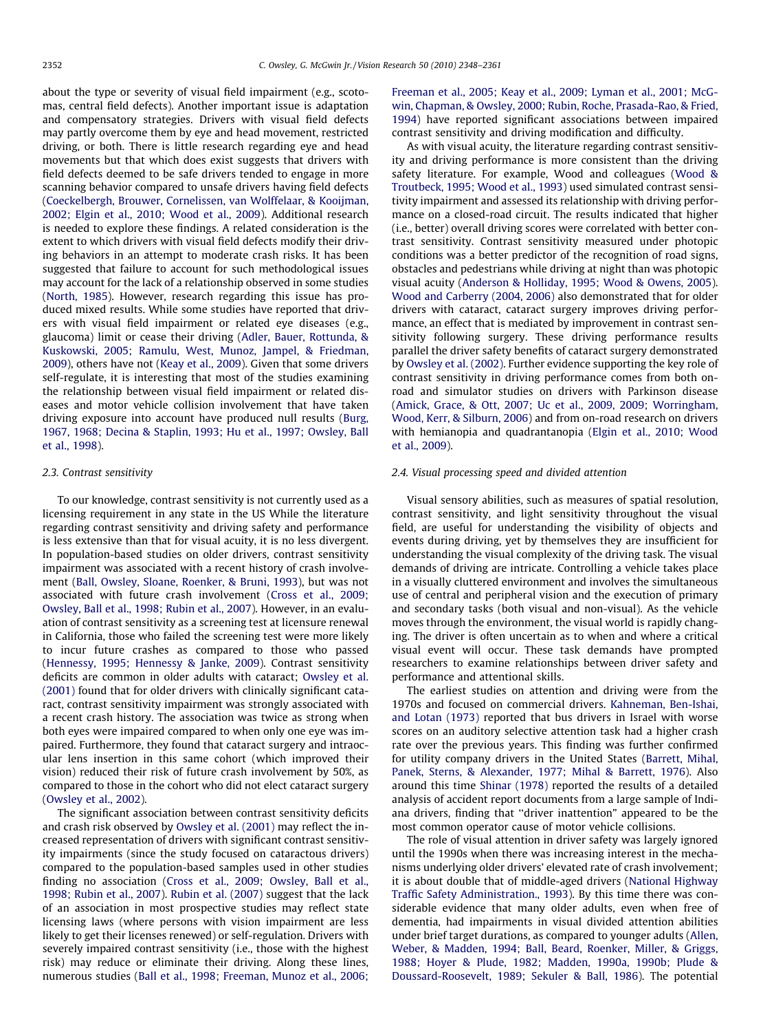about the type or severity of visual field impairment (e.g., scotomas, central field defects). Another important issue is adaptation and compensatory strategies. Drivers with visual field defects may partly overcome them by eye and head movement, restricted driving, or both. There is little research regarding eye and head movements but that which does exist suggests that drivers with field defects deemed to be safe drivers tended to engage in more scanning behavior compared to unsafe drivers having field defects ([Coeckelbergh, Brouwer, Cornelissen, van Wolffelaar, & Kooijman,](#page-10-0) [2002; Elgin et al., 2010; Wood et al., 2009\)](#page-10-0). Additional research is needed to explore these findings. A related consideration is the extent to which drivers with visual field defects modify their driving behaviors in an attempt to moderate crash risks. It has been suggested that failure to account for such methodological issues may account for the lack of a relationship observed in some studies ([North, 1985\)](#page-12-0). However, research regarding this issue has produced mixed results. While some studies have reported that drivers with visual field impairment or related eye diseases (e.g., glaucoma) limit or cease their driving ([Adler, Bauer, Rottunda, &](#page-10-0) [Kuskowski, 2005; Ramulu, West, Munoz, Jampel, & Friedman,](#page-10-0) [2009\)](#page-10-0), others have not [\(Keay et al., 2009\)](#page-11-0). Given that some drivers self-regulate, it is interesting that most of the studies examining the relationship between visual field impairment or related diseases and motor vehicle collision involvement that have taken driving exposure into account have produced null results [\(Burg,](#page-10-0) [1967, 1968; Decina & Staplin, 1993; Hu et al., 1997; Owsley, Ball](#page-10-0) [et al., 1998\)](#page-10-0).

## 2.3. Contrast sensitivity

To our knowledge, contrast sensitivity is not currently used as a licensing requirement in any state in the US While the literature regarding contrast sensitivity and driving safety and performance is less extensive than that for visual acuity, it is no less divergent. In population-based studies on older drivers, contrast sensitivity impairment was associated with a recent history of crash involvement ([Ball, Owsley, Sloane, Roenker, & Bruni, 1993](#page-10-0)), but was not associated with future crash involvement ([Cross et al., 2009;](#page-10-0) [Owsley, Ball et al., 1998; Rubin et al., 2007\)](#page-10-0). However, in an evaluation of contrast sensitivity as a screening test at licensure renewal in California, those who failed the screening test were more likely to incur future crashes as compared to those who passed ([Hennessy, 1995; Hennessy & Janke, 2009\)](#page-11-0). Contrast sensitivity deficits are common in older adults with cataract; [Owsley et al.](#page-12-0) [\(2001\)](#page-12-0) found that for older drivers with clinically significant cataract, contrast sensitivity impairment was strongly associated with a recent crash history. The association was twice as strong when both eyes were impaired compared to when only one eye was impaired. Furthermore, they found that cataract surgery and intraocular lens insertion in this same cohort (which improved their vision) reduced their risk of future crash involvement by 50%, as compared to those in the cohort who did not elect cataract surgery ([Owsley et al., 2002](#page-12-0)).

The significant association between contrast sensitivity deficits and crash risk observed by [Owsley et al. \(2001\)](#page-12-0) may reflect the increased representation of drivers with significant contrast sensitivity impairments (since the study focused on cataractous drivers) compared to the population-based samples used in other studies finding no association [\(Cross et al., 2009; Owsley, Ball et al.,](#page-10-0) [1998; Rubin et al., 2007\)](#page-10-0). [Rubin et al. \(2007\)](#page-12-0) suggest that the lack of an association in most prospective studies may reflect state licensing laws (where persons with vision impairment are less likely to get their licenses renewed) or self-regulation. Drivers with severely impaired contrast sensitivity (i.e., those with the highest risk) may reduce or eliminate their driving. Along these lines, numerous studies ([Ball et al., 1998; Freeman, Munoz et al., 2006;](#page-10-0)

[Freeman et al., 2005; Keay et al., 2009; Lyman et al., 2001; McG](#page-10-0)[win, Chapman, & Owsley, 2000; Rubin, Roche, Prasada-Rao, & Fried,](#page-10-0) [1994\)](#page-10-0) have reported significant associations between impaired contrast sensitivity and driving modification and difficulty.

As with visual acuity, the literature regarding contrast sensitivity and driving performance is more consistent than the driving safety literature. For example, Wood and colleagues ([Wood &](#page-13-0) [Troutbeck, 1995; Wood et al., 1993](#page-13-0)) used simulated contrast sensitivity impairment and assessed its relationship with driving performance on a closed-road circuit. The results indicated that higher (i.e., better) overall driving scores were correlated with better contrast sensitivity. Contrast sensitivity measured under photopic conditions was a better predictor of the recognition of road signs, obstacles and pedestrians while driving at night than was photopic visual acuity ([Anderson & Holliday, 1995; Wood & Owens, 2005\)](#page-10-0). [Wood and Carberry \(2004, 2006\)](#page-13-0) also demonstrated that for older drivers with cataract, cataract surgery improves driving performance, an effect that is mediated by improvement in contrast sensitivity following surgery. These driving performance results parallel the driver safety benefits of cataract surgery demonstrated by [Owsley et al. \(2002\)](#page-12-0). Further evidence supporting the key role of contrast sensitivity in driving performance comes from both onroad and simulator studies on drivers with Parkinson disease ([Amick, Grace, & Ott, 2007; Uc et al., 2009, 2009; Worringham,](#page-10-0) [Wood, Kerr, & Silburn, 2006\)](#page-10-0) and from on-road research on drivers with hemianopia and quadrantanopia [\(Elgin et al., 2010; Wood](#page-11-0) [et al., 2009\)](#page-11-0).

## 2.4. Visual processing speed and divided attention

Visual sensory abilities, such as measures of spatial resolution, contrast sensitivity, and light sensitivity throughout the visual field, are useful for understanding the visibility of objects and events during driving, yet by themselves they are insufficient for understanding the visual complexity of the driving task. The visual demands of driving are intricate. Controlling a vehicle takes place in a visually cluttered environment and involves the simultaneous use of central and peripheral vision and the execution of primary and secondary tasks (both visual and non-visual). As the vehicle moves through the environment, the visual world is rapidly changing. The driver is often uncertain as to when and where a critical visual event will occur. These task demands have prompted researchers to examine relationships between driver safety and performance and attentional skills.

The earliest studies on attention and driving were from the 1970s and focused on commercial drivers. [Kahneman, Ben-Ishai,](#page-11-0) [and Lotan \(1973\)](#page-11-0) reported that bus drivers in Israel with worse scores on an auditory selective attention task had a higher crash rate over the previous years. This finding was further confirmed for utility company drivers in the United States [\(Barrett, Mihal,](#page-10-0) [Panek, Sterns, & Alexander, 1977; Mihal & Barrett, 1976\)](#page-10-0). Also around this time [Shinar \(1978\)](#page-12-0) reported the results of a detailed analysis of accident report documents from a large sample of Indiana drivers, finding that ''driver inattention" appeared to be the most common operator cause of motor vehicle collisions.

The role of visual attention in driver safety was largely ignored until the 1990s when there was increasing interest in the mechanisms underlying older drivers' elevated rate of crash involvement; it is about double that of middle-aged drivers [\(National Highway](#page-12-0) [Traffic Safety Administration., 1993](#page-12-0)). By this time there was considerable evidence that many older adults, even when free of dementia, had impairments in visual divided attention abilities under brief target durations, as compared to younger adults [\(Allen,](#page-10-0) [Weber, & Madden, 1994; Ball, Beard, Roenker, Miller, & Griggs,](#page-10-0) [1988; Hoyer & Plude, 1982; Madden, 1990a, 1990b; Plude &](#page-10-0) [Doussard-Roosevelt, 1989; Sekuler & Ball, 1986](#page-10-0)). The potential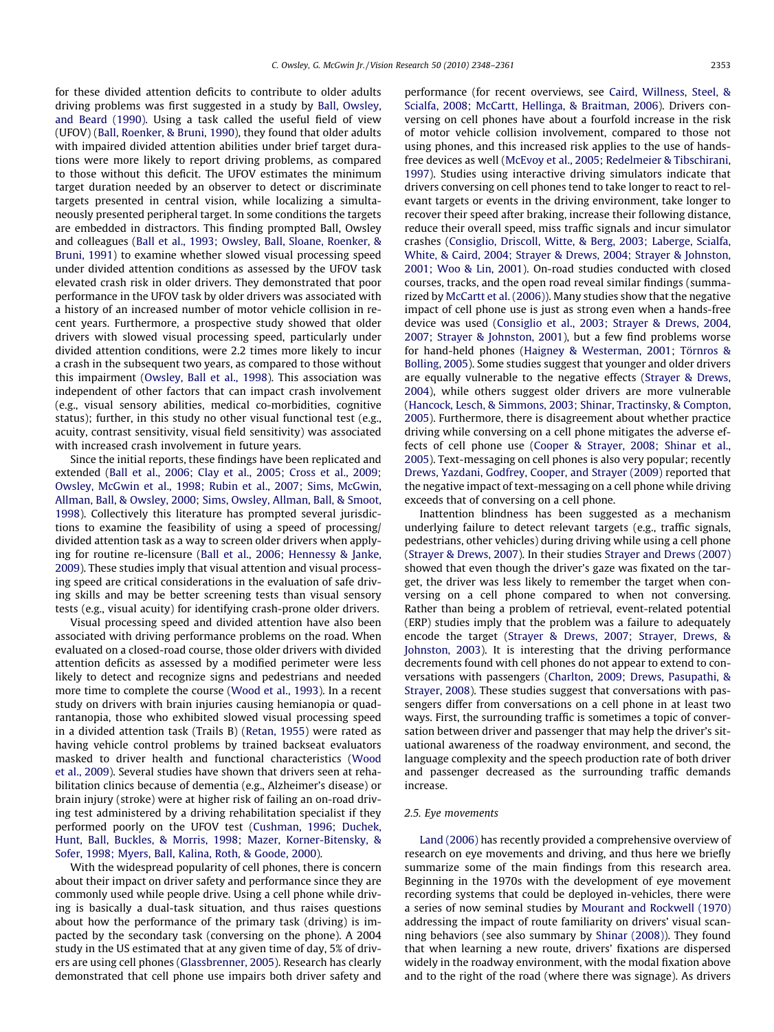for these divided attention deficits to contribute to older adults driving problems was first suggested in a study by [Ball, Owsley,](#page-10-0) [and Beard \(1990\).](#page-10-0) Using a task called the useful field of view (UFOV) [\(Ball, Roenker, & Bruni, 1990](#page-10-0)), they found that older adults with impaired divided attention abilities under brief target durations were more likely to report driving problems, as compared to those without this deficit. The UFOV estimates the minimum target duration needed by an observer to detect or discriminate targets presented in central vision, while localizing a simultaneously presented peripheral target. In some conditions the targets are embedded in distractors. This finding prompted Ball, Owsley and colleagues ([Ball et al., 1993; Owsley, Ball, Sloane, Roenker, &](#page-10-0) [Bruni, 1991](#page-10-0)) to examine whether slowed visual processing speed under divided attention conditions as assessed by the UFOV task elevated crash risk in older drivers. They demonstrated that poor performance in the UFOV task by older drivers was associated with a history of an increased number of motor vehicle collision in recent years. Furthermore, a prospective study showed that older drivers with slowed visual processing speed, particularly under divided attention conditions, were 2.2 times more likely to incur a crash in the subsequent two years, as compared to those without this impairment [\(Owsley, Ball et al., 1998\)](#page-12-0). This association was independent of other factors that can impact crash involvement (e.g., visual sensory abilities, medical co-morbidities, cognitive status); further, in this study no other visual functional test (e.g., acuity, contrast sensitivity, visual field sensitivity) was associated with increased crash involvement in future years.

Since the initial reports, these findings have been replicated and extended [\(Ball et al., 2006; Clay et al., 2005; Cross et al., 2009;](#page-10-0) [Owsley, McGwin et al., 1998; Rubin et al., 2007; Sims, McGwin,](#page-10-0) [Allman, Ball, & Owsley, 2000; Sims, Owsley, Allman, Ball, & Smoot,](#page-10-0) [1998\)](#page-10-0). Collectively this literature has prompted several jurisdictions to examine the feasibility of using a speed of processing/ divided attention task as a way to screen older drivers when applying for routine re-licensure ([Ball et al., 2006; Hennessy & Janke,](#page-10-0) [2009](#page-10-0)). These studies imply that visual attention and visual processing speed are critical considerations in the evaluation of safe driving skills and may be better screening tests than visual sensory tests (e.g., visual acuity) for identifying crash-prone older drivers.

Visual processing speed and divided attention have also been associated with driving performance problems on the road. When evaluated on a closed-road course, those older drivers with divided attention deficits as assessed by a modified perimeter were less likely to detect and recognize signs and pedestrians and needed more time to complete the course ([Wood et al., 1993](#page-13-0)). In a recent study on drivers with brain injuries causing hemianopia or quadrantanopia, those who exhibited slowed visual processing speed in a divided attention task (Trails B) [\(Retan, 1955\)](#page-12-0) were rated as having vehicle control problems by trained backseat evaluators masked to driver health and functional characteristics [\(Wood](#page-13-0) [et al., 2009](#page-13-0)). Several studies have shown that drivers seen at rehabilitation clinics because of dementia (e.g., Alzheimer's disease) or brain injury (stroke) were at higher risk of failing an on-road driving test administered by a driving rehabilitation specialist if they performed poorly on the UFOV test ([Cushman, 1996; Duchek,](#page-10-0) [Hunt, Ball, Buckles, & Morris, 1998; Mazer, Korner-Bitensky, &](#page-10-0) [Sofer, 1998; Myers, Ball, Kalina, Roth, & Goode, 2000](#page-10-0)).

With the widespread popularity of cell phones, there is concern about their impact on driver safety and performance since they are commonly used while people drive. Using a cell phone while driving is basically a dual-task situation, and thus raises questions about how the performance of the primary task (driving) is impacted by the secondary task (conversing on the phone). A 2004 study in the US estimated that at any given time of day, 5% of drivers are using cell phones ([Glassbrenner, 2005](#page-11-0)). Research has clearly demonstrated that cell phone use impairs both driver safety and performance (for recent overviews, see [Caird, Willness, Steel, &](#page-10-0) [Scialfa, 2008; McCartt, Hellinga, & Braitman, 2006\)](#page-10-0). Drivers conversing on cell phones have about a fourfold increase in the risk of motor vehicle collision involvement, compared to those not using phones, and this increased risk applies to the use of handsfree devices as well [\(McEvoy et al., 2005; Redelmeier & Tibschirani,](#page-12-0) [1997\)](#page-12-0). Studies using interactive driving simulators indicate that drivers conversing on cell phones tend to take longer to react to relevant targets or events in the driving environment, take longer to recover their speed after braking, increase their following distance, reduce their overall speed, miss traffic signals and incur simulator crashes ([Consiglio, Driscoll, Witte, & Berg, 2003; Laberge, Scialfa,](#page-10-0) [White, & Caird, 2004; Strayer & Drews, 2004; Strayer & Johnston,](#page-10-0) [2001; Woo & Lin, 2001](#page-10-0)). On-road studies conducted with closed courses, tracks, and the open road reveal similar findings (summarized by [McCartt et al. \(2006\)](#page-12-0)). Many studies show that the negative impact of cell phone use is just as strong even when a hands-free device was used ([Consiglio et al., 2003; Strayer & Drews, 2004,](#page-10-0) [2007; Strayer & Johnston, 2001](#page-10-0)), but a few find problems worse for hand-held phones [\(Haigney & Westerman, 2001; Törnros &](#page-11-0) [Bolling, 2005](#page-11-0)). Some studies suggest that younger and older drivers are equally vulnerable to the negative effects ([Strayer & Drews,](#page-13-0) [2004](#page-13-0)), while others suggest older drivers are more vulnerable ([Hancock, Lesch, & Simmons, 2003; Shinar, Tractinsky, & Compton,](#page-11-0) [2005](#page-11-0)). Furthermore, there is disagreement about whether practice driving while conversing on a cell phone mitigates the adverse effects of cell phone use [\(Cooper & Strayer, 2008; Shinar et al.,](#page-10-0) [2005](#page-10-0)). Text-messaging on cell phones is also very popular; recently [Drews, Yazdani, Godfrey, Cooper, and Strayer \(2009\)](#page-11-0) reported that the negative impact of text-messaging on a cell phone while driving exceeds that of conversing on a cell phone.

Inattention blindness has been suggested as a mechanism underlying failure to detect relevant targets (e.g., traffic signals, pedestrians, other vehicles) during driving while using a cell phone ([Strayer & Drews, 2007](#page-13-0)). In their studies [Strayer and Drews \(2007\)](#page-13-0) showed that even though the driver's gaze was fixated on the target, the driver was less likely to remember the target when conversing on a cell phone compared to when not conversing. Rather than being a problem of retrieval, event-related potential (ERP) studies imply that the problem was a failure to adequately encode the target [\(Strayer & Drews, 2007; Strayer, Drews, &](#page-13-0) [Johnston, 2003](#page-13-0)). It is interesting that the driving performance decrements found with cell phones do not appear to extend to conversations with passengers [\(Charlton, 2009; Drews, Pasupathi, &](#page-10-0) [Strayer, 2008\)](#page-10-0). These studies suggest that conversations with passengers differ from conversations on a cell phone in at least two ways. First, the surrounding traffic is sometimes a topic of conversation between driver and passenger that may help the driver's situational awareness of the roadway environment, and second, the language complexity and the speech production rate of both driver and passenger decreased as the surrounding traffic demands increase.

#### 2.5. Eye movements

[Land \(2006\)](#page-11-0) has recently provided a comprehensive overview of research on eye movements and driving, and thus here we briefly summarize some of the main findings from this research area. Beginning in the 1970s with the development of eye movement recording systems that could be deployed in-vehicles, there were a series of now seminal studies by [Mourant and Rockwell \(1970\)](#page-12-0) addressing the impact of route familiarity on drivers' visual scanning behaviors (see also summary by [Shinar \(2008\)](#page-13-0)). They found that when learning a new route, drivers' fixations are dispersed widely in the roadway environment, with the modal fixation above and to the right of the road (where there was signage). As drivers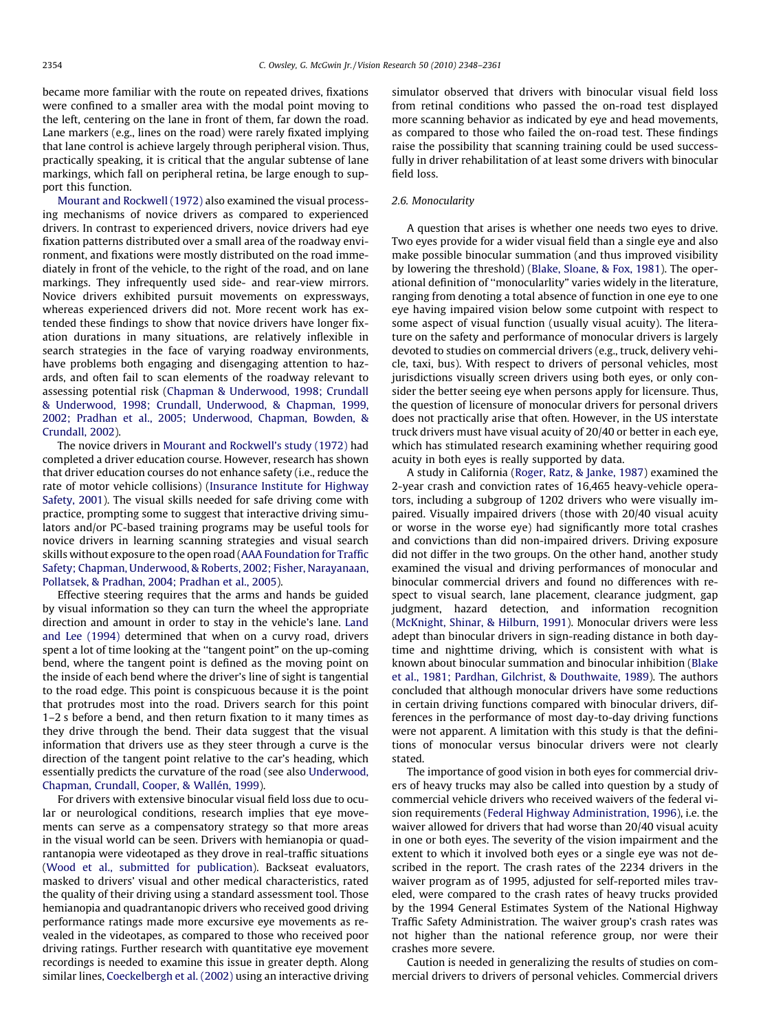became more familiar with the route on repeated drives, fixations were confined to a smaller area with the modal point moving to the left, centering on the lane in front of them, far down the road. Lane markers (e.g., lines on the road) were rarely fixated implying that lane control is achieve largely through peripheral vision. Thus, practically speaking, it is critical that the angular subtense of lane markings, which fall on peripheral retina, be large enough to support this function.

[Mourant and Rockwell \(1972\)](#page-12-0) also examined the visual processing mechanisms of novice drivers as compared to experienced drivers. In contrast to experienced drivers, novice drivers had eye fixation patterns distributed over a small area of the roadway environment, and fixations were mostly distributed on the road immediately in front of the vehicle, to the right of the road, and on lane markings. They infrequently used side- and rear-view mirrors. Novice drivers exhibited pursuit movements on expressways, whereas experienced drivers did not. More recent work has extended these findings to show that novice drivers have longer fixation durations in many situations, are relatively inflexible in search strategies in the face of varying roadway environments, have problems both engaging and disengaging attention to hazards, and often fail to scan elements of the roadway relevant to assessing potential risk ([Chapman & Underwood, 1998; Crundall](#page-10-0) [& Underwood, 1998; Crundall, Underwood, & Chapman, 1999,](#page-10-0) [2002; Pradhan et al., 2005; Underwood, Chapman, Bowden, &](#page-10-0) [Crundall, 2002](#page-10-0)).

The novice drivers in [Mourant and Rockwell's study \(1972\)](#page-12-0) had completed a driver education course. However, research has shown that driver education courses do not enhance safety (i.e., reduce the rate of motor vehicle collisions) [\(Insurance Institute for Highway](#page-11-0) [Safety, 2001](#page-11-0)). The visual skills needed for safe driving come with practice, prompting some to suggest that interactive driving simulators and/or PC-based training programs may be useful tools for novice drivers in learning scanning strategies and visual search skills without exposure to the open road ([AAA Foundation for Traffic](#page-10-0) [Safety; Chapman, Underwood, & Roberts, 2002; Fisher, Narayanaan,](#page-10-0) [Pollatsek, & Pradhan, 2004; Pradhan et al., 2005\)](#page-10-0).

Effective steering requires that the arms and hands be guided by visual information so they can turn the wheel the appropriate direction and amount in order to stay in the vehicle's lane. [Land](#page-11-0) [and Lee \(1994\)](#page-11-0) determined that when on a curvy road, drivers spent a lot of time looking at the ''tangent point" on the up-coming bend, where the tangent point is defined as the moving point on the inside of each bend where the driver's line of sight is tangential to the road edge. This point is conspicuous because it is the point that protrudes most into the road. Drivers search for this point 1–2 s before a bend, and then return fixation to it many times as they drive through the bend. Their data suggest that the visual information that drivers use as they steer through a curve is the direction of the tangent point relative to the car's heading, which essentially predicts the curvature of the road (see also [Underwood,](#page-13-0) [Chapman, Crundall, Cooper, & Wallén, 1999\)](#page-13-0).

For drivers with extensive binocular visual field loss due to ocular or neurological conditions, research implies that eye movements can serve as a compensatory strategy so that more areas in the visual world can be seen. Drivers with hemianopia or quadrantanopia were videotaped as they drove in real-traffic situations ([Wood et al., submitted for publication](#page-13-0)). Backseat evaluators, masked to drivers' visual and other medical characteristics, rated the quality of their driving using a standard assessment tool. Those hemianopia and quadrantanopic drivers who received good driving performance ratings made more excursive eye movements as revealed in the videotapes, as compared to those who received poor driving ratings. Further research with quantitative eye movement recordings is needed to examine this issue in greater depth. Along similar lines, [Coeckelbergh et al. \(2002\)](#page-10-0) using an interactive driving simulator observed that drivers with binocular visual field loss from retinal conditions who passed the on-road test displayed more scanning behavior as indicated by eye and head movements, as compared to those who failed the on-road test. These findings raise the possibility that scanning training could be used successfully in driver rehabilitation of at least some drivers with binocular field loss.

# 2.6. Monocularity

A question that arises is whether one needs two eyes to drive. Two eyes provide for a wider visual field than a single eye and also make possible binocular summation (and thus improved visibility by lowering the threshold) [\(Blake, Sloane, & Fox, 1981](#page-10-0)). The operational definition of ''monocularlity" varies widely in the literature, ranging from denoting a total absence of function in one eye to one eye having impaired vision below some cutpoint with respect to some aspect of visual function (usually visual acuity). The literature on the safety and performance of monocular drivers is largely devoted to studies on commercial drivers (e.g., truck, delivery vehicle, taxi, bus). With respect to drivers of personal vehicles, most jurisdictions visually screen drivers using both eyes, or only consider the better seeing eye when persons apply for licensure. Thus, the question of licensure of monocular drivers for personal drivers does not practically arise that often. However, in the US interstate truck drivers must have visual acuity of 20/40 or better in each eye, which has stimulated research examining whether requiring good acuity in both eyes is really supported by data.

A study in California ([Roger, Ratz, & Janke, 1987](#page-12-0)) examined the 2-year crash and conviction rates of 16,465 heavy-vehicle operators, including a subgroup of 1202 drivers who were visually impaired. Visually impaired drivers (those with 20/40 visual acuity or worse in the worse eye) had significantly more total crashes and convictions than did non-impaired drivers. Driving exposure did not differ in the two groups. On the other hand, another study examined the visual and driving performances of monocular and binocular commercial drivers and found no differences with respect to visual search, lane placement, clearance judgment, gap judgment, hazard detection, and information recognition ([McKnight, Shinar, & Hilburn, 1991](#page-12-0)). Monocular drivers were less adept than binocular drivers in sign-reading distance in both daytime and nighttime driving, which is consistent with what is known about binocular summation and binocular inhibition [\(Blake](#page-10-0) [et al., 1981; Pardhan, Gilchrist, & Douthwaite, 1989\)](#page-10-0). The authors concluded that although monocular drivers have some reductions in certain driving functions compared with binocular drivers, differences in the performance of most day-to-day driving functions were not apparent. A limitation with this study is that the definitions of monocular versus binocular drivers were not clearly stated.

The importance of good vision in both eyes for commercial drivers of heavy trucks may also be called into question by a study of commercial vehicle drivers who received waivers of the federal vision requirements [\(Federal Highway Administration, 1996\)](#page-11-0), i.e. the waiver allowed for drivers that had worse than 20/40 visual acuity in one or both eyes. The severity of the vision impairment and the extent to which it involved both eyes or a single eye was not described in the report. The crash rates of the 2234 drivers in the waiver program as of 1995, adjusted for self-reported miles traveled, were compared to the crash rates of heavy trucks provided by the 1994 General Estimates System of the National Highway Traffic Safety Administration. The waiver group's crash rates was not higher than the national reference group, nor were their crashes more severe.

Caution is needed in generalizing the results of studies on commercial drivers to drivers of personal vehicles. Commercial drivers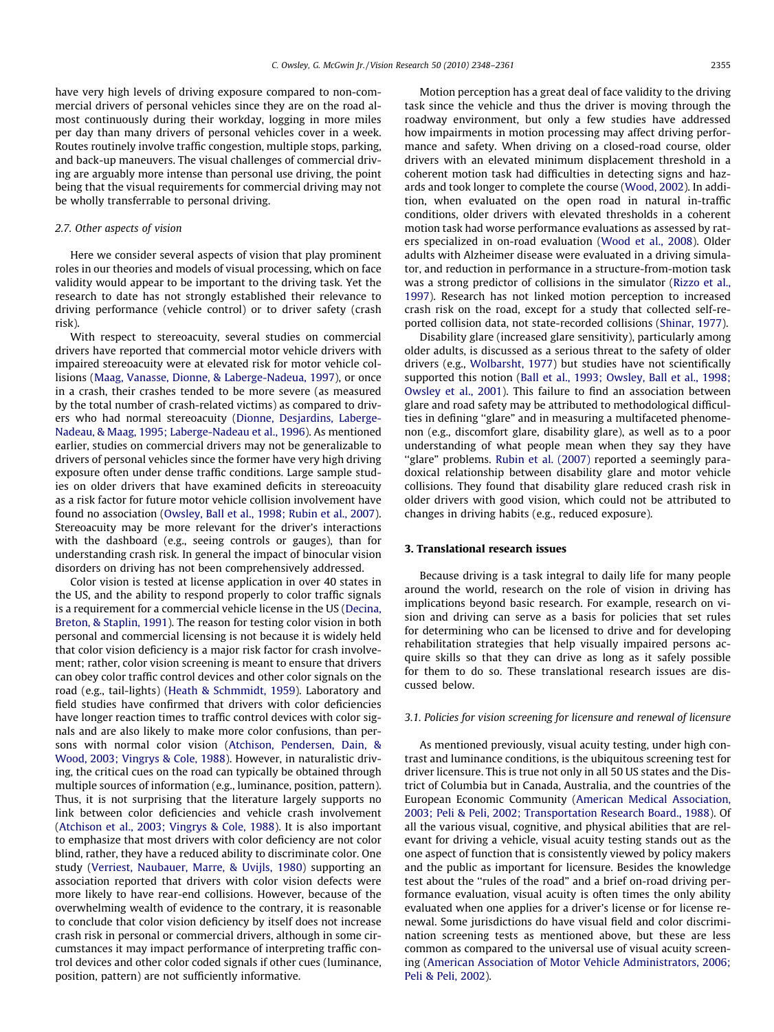have very high levels of driving exposure compared to non-commercial drivers of personal vehicles since they are on the road almost continuously during their workday, logging in more miles per day than many drivers of personal vehicles cover in a week. Routes routinely involve traffic congestion, multiple stops, parking, and back-up maneuvers. The visual challenges of commercial driving are arguably more intense than personal use driving, the point being that the visual requirements for commercial driving may not be wholly transferrable to personal driving.

## 2.7. Other aspects of vision

Here we consider several aspects of vision that play prominent roles in our theories and models of visual processing, which on face validity would appear to be important to the driving task. Yet the research to date has not strongly established their relevance to driving performance (vehicle control) or to driver safety (crash risk).

With respect to stereoacuity, several studies on commercial drivers have reported that commercial motor vehicle drivers with impaired stereoacuity were at elevated risk for motor vehicle collisions ([Maag, Vanasse, Dionne, & Laberge-Nadeua, 1997\)](#page-11-0), or once in a crash, their crashes tended to be more severe (as measured by the total number of crash-related victims) as compared to drivers who had normal stereoacuity ([Dionne, Desjardins, Laberge-](#page-11-0)[Nadeau, & Maag, 1995; Laberge-Nadeau et al., 1996\)](#page-11-0). As mentioned earlier, studies on commercial drivers may not be generalizable to drivers of personal vehicles since the former have very high driving exposure often under dense traffic conditions. Large sample studies on older drivers that have examined deficits in stereoacuity as a risk factor for future motor vehicle collision involvement have found no association [\(Owsley, Ball et al., 1998; Rubin et al., 2007\)](#page-12-0). Stereoacuity may be more relevant for the driver's interactions with the dashboard (e.g., seeing controls or gauges), than for understanding crash risk. In general the impact of binocular vision disorders on driving has not been comprehensively addressed.

Color vision is tested at license application in over 40 states in the US, and the ability to respond properly to color traffic signals is a requirement for a commercial vehicle license in the US [\(Decina,](#page-10-0) [Breton, & Staplin, 1991](#page-10-0)). The reason for testing color vision in both personal and commercial licensing is not because it is widely held that color vision deficiency is a major risk factor for crash involvement; rather, color vision screening is meant to ensure that drivers can obey color traffic control devices and other color signals on the road (e.g., tail-lights) ([Heath & Schmmidt, 1959](#page-11-0)). Laboratory and field studies have confirmed that drivers with color deficiencies have longer reaction times to traffic control devices with color signals and are also likely to make more color confusions, than persons with normal color vision [\(Atchison, Pendersen, Dain, &](#page-10-0) [Wood, 2003; Vingrys & Cole, 1988\)](#page-10-0). However, in naturalistic driving, the critical cues on the road can typically be obtained through multiple sources of information (e.g., luminance, position, pattern). Thus, it is not surprising that the literature largely supports no link between color deficiencies and vehicle crash involvement ([Atchison et al., 2003; Vingrys & Cole, 1988](#page-10-0)). It is also important to emphasize that most drivers with color deficiency are not color blind, rather, they have a reduced ability to discriminate color. One study [\(Verriest, Naubauer, Marre, & Uvijls, 1980\)](#page-13-0) supporting an association reported that drivers with color vision defects were more likely to have rear-end collisions. However, because of the overwhelming wealth of evidence to the contrary, it is reasonable to conclude that color vision deficiency by itself does not increase crash risk in personal or commercial drivers, although in some circumstances it may impact performance of interpreting traffic control devices and other color coded signals if other cues (luminance, position, pattern) are not sufficiently informative.

Motion perception has a great deal of face validity to the driving task since the vehicle and thus the driver is moving through the roadway environment, but only a few studies have addressed how impairments in motion processing may affect driving performance and safety. When driving on a closed-road course, older drivers with an elevated minimum displacement threshold in a coherent motion task had difficulties in detecting signs and hazards and took longer to complete the course [\(Wood, 2002](#page-13-0)). In addition, when evaluated on the open road in natural in-traffic conditions, older drivers with elevated thresholds in a coherent motion task had worse performance evaluations as assessed by raters specialized in on-road evaluation ([Wood et al., 2008](#page-13-0)). Older adults with Alzheimer disease were evaluated in a driving simulator, and reduction in performance in a structure-from-motion task was a strong predictor of collisions in the simulator [\(Rizzo et al.,](#page-12-0) [1997\)](#page-12-0). Research has not linked motion perception to increased crash risk on the road, except for a study that collected self-reported collision data, not state-recorded collisions [\(Shinar, 1977\)](#page-12-0).

Disability glare (increased glare sensitivity), particularly among older adults, is discussed as a serious threat to the safety of older drivers (e.g., [Wolbarsht, 1977\)](#page-13-0) but studies have not scientifically supported this notion ([Ball et al., 1993; Owsley, Ball et al., 1998;](#page-10-0) [Owsley et al., 2001\)](#page-10-0). This failure to find an association between glare and road safety may be attributed to methodological difficulties in defining ''glare" and in measuring a multifaceted phenomenon (e.g., discomfort glare, disability glare), as well as to a poor understanding of what people mean when they say they have "glare" problems. [Rubin et al. \(2007\)](#page-12-0) reported a seemingly paradoxical relationship between disability glare and motor vehicle collisions. They found that disability glare reduced crash risk in older drivers with good vision, which could not be attributed to changes in driving habits (e.g., reduced exposure).

#### 3. Translational research issues

Because driving is a task integral to daily life for many people around the world, research on the role of vision in driving has implications beyond basic research. For example, research on vision and driving can serve as a basis for policies that set rules for determining who can be licensed to drive and for developing rehabilitation strategies that help visually impaired persons acquire skills so that they can drive as long as it safely possible for them to do so. These translational research issues are discussed below.

#### 3.1. Policies for vision screening for licensure and renewal of licensure

As mentioned previously, visual acuity testing, under high contrast and luminance conditions, is the ubiquitous screening test for driver licensure. This is true not only in all 50 US states and the District of Columbia but in Canada, Australia, and the countries of the European Economic Community ([American Medical Association,](#page-10-0) [2003; Peli & Peli, 2002; Transportation Research Board., 1988](#page-10-0)). Of all the various visual, cognitive, and physical abilities that are relevant for driving a vehicle, visual acuity testing stands out as the one aspect of function that is consistently viewed by policy makers and the public as important for licensure. Besides the knowledge test about the ''rules of the road" and a brief on-road driving performance evaluation, visual acuity is often times the only ability evaluated when one applies for a driver's license or for license renewal. Some jurisdictions do have visual field and color discrimination screening tests as mentioned above, but these are less common as compared to the universal use of visual acuity screening [\(American Association of Motor Vehicle Administrators, 2006;](#page-10-0) [Peli & Peli, 2002](#page-10-0)).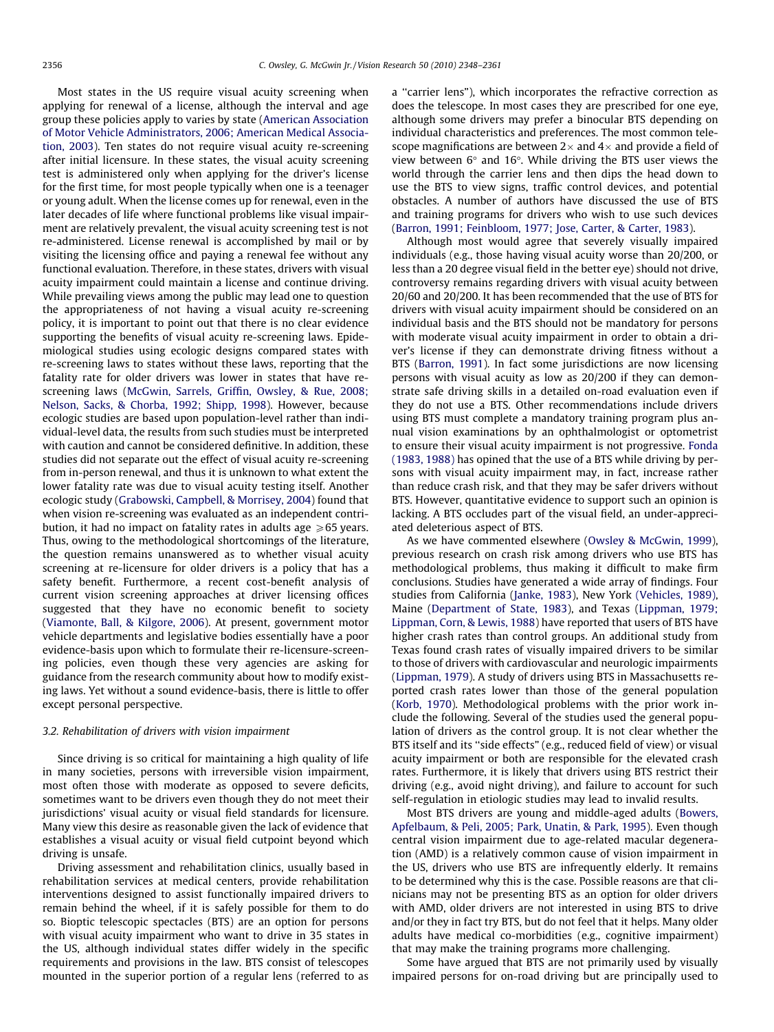Most states in the US require visual acuity screening when applying for renewal of a license, although the interval and age group these policies apply to varies by state ([American Association](#page-10-0) [of Motor Vehicle Administrators, 2006; American Medical Associa](#page-10-0)[tion, 2003](#page-10-0)). Ten states do not require visual acuity re-screening after initial licensure. In these states, the visual acuity screening test is administered only when applying for the driver's license for the first time, for most people typically when one is a teenager or young adult. When the license comes up for renewal, even in the later decades of life where functional problems like visual impairment are relatively prevalent, the visual acuity screening test is not re-administered. License renewal is accomplished by mail or by visiting the licensing office and paying a renewal fee without any functional evaluation. Therefore, in these states, drivers with visual acuity impairment could maintain a license and continue driving. While prevailing views among the public may lead one to question the appropriateness of not having a visual acuity re-screening policy, it is important to point out that there is no clear evidence supporting the benefits of visual acuity re-screening laws. Epidemiological studies using ecologic designs compared states with re-screening laws to states without these laws, reporting that the fatality rate for older drivers was lower in states that have rescreening laws ([McGwin, Sarrels, Griffin, Owsley, & Rue, 2008;](#page-12-0) [Nelson, Sacks, & Chorba, 1992; Shipp, 1998](#page-12-0)). However, because ecologic studies are based upon population-level rather than individual-level data, the results from such studies must be interpreted with caution and cannot be considered definitive. In addition, these studies did not separate out the effect of visual acuity re-screening from in-person renewal, and thus it is unknown to what extent the lower fatality rate was due to visual acuity testing itself. Another ecologic study [\(Grabowski, Campbell, & Morrisey, 2004](#page-11-0)) found that when vision re-screening was evaluated as an independent contribution, it had no impact on fatality rates in adults age  $\geq 65$  years. Thus, owing to the methodological shortcomings of the literature, the question remains unanswered as to whether visual acuity screening at re-licensure for older drivers is a policy that has a safety benefit. Furthermore, a recent cost-benefit analysis of current vision screening approaches at driver licensing offices suggested that they have no economic benefit to society ([Viamonte, Ball, & Kilgore, 2006](#page-13-0)). At present, government motor vehicle departments and legislative bodies essentially have a poor evidence-basis upon which to formulate their re-licensure-screening policies, even though these very agencies are asking for guidance from the research community about how to modify existing laws. Yet without a sound evidence-basis, there is little to offer except personal perspective.

## 3.2. Rehabilitation of drivers with vision impairment

Since driving is so critical for maintaining a high quality of life in many societies, persons with irreversible vision impairment, most often those with moderate as opposed to severe deficits, sometimes want to be drivers even though they do not meet their jurisdictions' visual acuity or visual field standards for licensure. Many view this desire as reasonable given the lack of evidence that establishes a visual acuity or visual field cutpoint beyond which driving is unsafe.

Driving assessment and rehabilitation clinics, usually based in rehabilitation services at medical centers, provide rehabilitation interventions designed to assist functionally impaired drivers to remain behind the wheel, if it is safely possible for them to do so. Bioptic telescopic spectacles (BTS) are an option for persons with visual acuity impairment who want to drive in 35 states in the US, although individual states differ widely in the specific requirements and provisions in the law. BTS consist of telescopes mounted in the superior portion of a regular lens (referred to as a ''carrier lens"), which incorporates the refractive correction as does the telescope. In most cases they are prescribed for one eye, although some drivers may prefer a binocular BTS depending on individual characteristics and preferences. The most common telescope magnifications are between 2 $\times$  and 4 $\times$  and provide a field of view between  $6^{\circ}$  and  $16^{\circ}$ . While driving the BTS user views the world through the carrier lens and then dips the head down to use the BTS to view signs, traffic control devices, and potential obstacles. A number of authors have discussed the use of BTS and training programs for drivers who wish to use such devices ([Barron, 1991; Feinbloom, 1977; Jose, Carter, & Carter, 1983\)](#page-10-0).

Although most would agree that severely visually impaired individuals (e.g., those having visual acuity worse than 20/200, or less than a 20 degree visual field in the better eye) should not drive, controversy remains regarding drivers with visual acuity between 20/60 and 20/200. It has been recommended that the use of BTS for drivers with visual acuity impairment should be considered on an individual basis and the BTS should not be mandatory for persons with moderate visual acuity impairment in order to obtain a driver's license if they can demonstrate driving fitness without a BTS [\(Barron, 1991](#page-10-0)). In fact some jurisdictions are now licensing persons with visual acuity as low as 20/200 if they can demonstrate safe driving skills in a detailed on-road evaluation even if they do not use a BTS. Other recommendations include drivers using BTS must complete a mandatory training program plus annual vision examinations by an ophthalmologist or optometrist to ensure their visual acuity impairment is not progressive. [Fonda](#page-11-0) [\(1983, 1988\)](#page-11-0) has opined that the use of a BTS while driving by persons with visual acuity impairment may, in fact, increase rather than reduce crash risk, and that they may be safer drivers without BTS. However, quantitative evidence to support such an opinion is lacking. A BTS occludes part of the visual field, an under-appreciated deleterious aspect of BTS.

As we have commented elsewhere ([Owsley & McGwin, 1999\)](#page-12-0), previous research on crash risk among drivers who use BTS has methodological problems, thus making it difficult to make firm conclusions. Studies have generated a wide array of findings. Four studies from California ([Janke, 1983](#page-11-0)), New York [\(Vehicles, 1989\),](#page-12-0) Maine [\(Department of State, 1983\)](#page-13-0), and Texas ([Lippman, 1979;](#page-11-0) [Lippman, Corn, & Lewis, 1988\)](#page-11-0) have reported that users of BTS have higher crash rates than control groups. An additional study from Texas found crash rates of visually impaired drivers to be similar to those of drivers with cardiovascular and neurologic impairments ([Lippman, 1979\)](#page-11-0). A study of drivers using BTS in Massachusetts reported crash rates lower than those of the general population ([Korb, 1970\)](#page-11-0). Methodological problems with the prior work include the following. Several of the studies used the general population of drivers as the control group. It is not clear whether the BTS itself and its ''side effects" (e.g., reduced field of view) or visual acuity impairment or both are responsible for the elevated crash rates. Furthermore, it is likely that drivers using BTS restrict their driving (e.g., avoid night driving), and failure to account for such self-regulation in etiologic studies may lead to invalid results.

Most BTS drivers are young and middle-aged adults [\(Bowers,](#page-10-0) [Apfelbaum, & Peli, 2005; Park, Unatin, & Park, 1995\)](#page-10-0). Even though central vision impairment due to age-related macular degeneration (AMD) is a relatively common cause of vision impairment in the US, drivers who use BTS are infrequently elderly. It remains to be determined why this is the case. Possible reasons are that clinicians may not be presenting BTS as an option for older drivers with AMD, older drivers are not interested in using BTS to drive and/or they in fact try BTS, but do not feel that it helps. Many older adults have medical co-morbidities (e.g., cognitive impairment) that may make the training programs more challenging.

Some have argued that BTS are not primarily used by visually impaired persons for on-road driving but are principally used to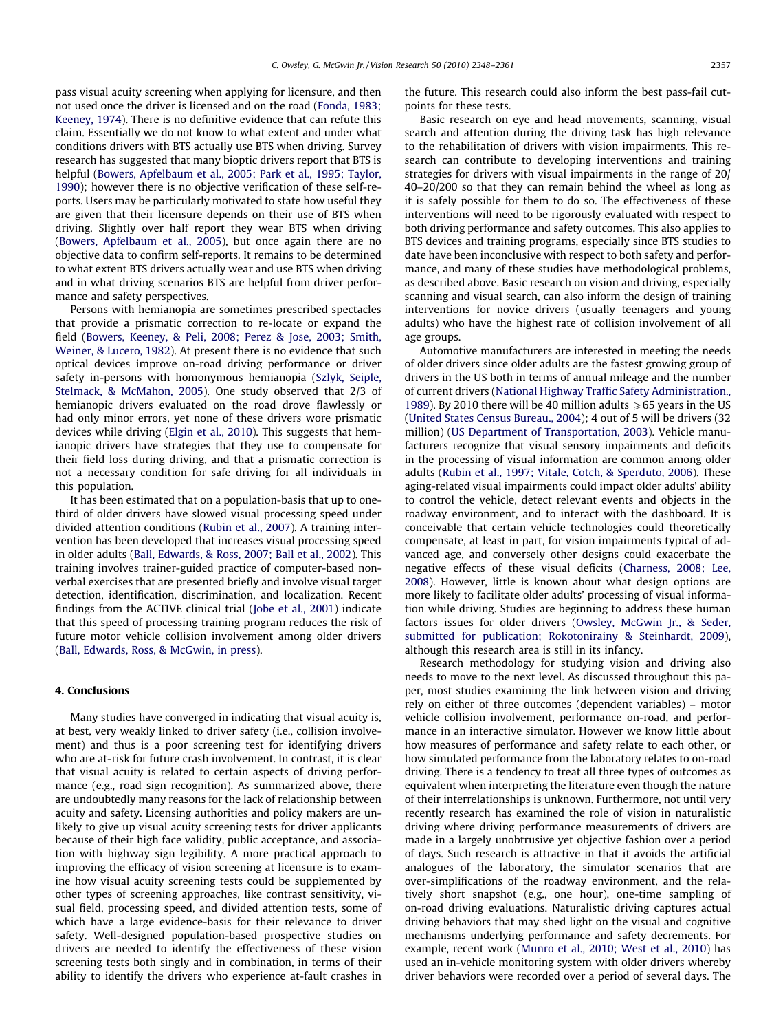pass visual acuity screening when applying for licensure, and then not used once the driver is licensed and on the road ([Fonda, 1983;](#page-11-0) [Keeney, 1974\)](#page-11-0). There is no definitive evidence that can refute this claim. Essentially we do not know to what extent and under what conditions drivers with BTS actually use BTS when driving. Survey research has suggested that many bioptic drivers report that BTS is helpful [\(Bowers, Apfelbaum et al., 2005; Park et al., 1995; Taylor,](#page-10-0) [1990\)](#page-10-0); however there is no objective verification of these self-reports. Users may be particularly motivated to state how useful they are given that their licensure depends on their use of BTS when driving. Slightly over half report they wear BTS when driving ([Bowers, Apfelbaum et al., 2005\)](#page-10-0), but once again there are no objective data to confirm self-reports. It remains to be determined to what extent BTS drivers actually wear and use BTS when driving and in what driving scenarios BTS are helpful from driver performance and safety perspectives.

Persons with hemianopia are sometimes prescribed spectacles that provide a prismatic correction to re-locate or expand the field [\(Bowers, Keeney, & Peli, 2008; Perez & Jose, 2003; Smith,](#page-10-0) [Weiner, & Lucero, 1982](#page-10-0)). At present there is no evidence that such optical devices improve on-road driving performance or driver safety in-persons with homonymous hemianopia [\(Szlyk, Seiple,](#page-13-0) [Stelmack, & McMahon, 2005\)](#page-13-0). One study observed that 2/3 of hemianopic drivers evaluated on the road drove flawlessly or had only minor errors, yet none of these drivers wore prismatic devices while driving ([Elgin et al., 2010](#page-11-0)). This suggests that hemianopic drivers have strategies that they use to compensate for their field loss during driving, and that a prismatic correction is not a necessary condition for safe driving for all individuals in this population.

It has been estimated that on a population-basis that up to onethird of older drivers have slowed visual processing speed under divided attention conditions [\(Rubin et al., 2007\)](#page-12-0). A training intervention has been developed that increases visual processing speed in older adults [\(Ball, Edwards, & Ross, 2007; Ball et al., 2002\)](#page-10-0). This training involves trainer-guided practice of computer-based nonverbal exercises that are presented briefly and involve visual target detection, identification, discrimination, and localization. Recent findings from the ACTIVE clinical trial [\(Jobe et al., 2001](#page-11-0)) indicate that this speed of processing training program reduces the risk of future motor vehicle collision involvement among older drivers ([Ball, Edwards, Ross, & McGwin, in press](#page-10-0)).

# 4. Conclusions

Many studies have converged in indicating that visual acuity is, at best, very weakly linked to driver safety (i.e., collision involvement) and thus is a poor screening test for identifying drivers who are at-risk for future crash involvement. In contrast, it is clear that visual acuity is related to certain aspects of driving performance (e.g., road sign recognition). As summarized above, there are undoubtedly many reasons for the lack of relationship between acuity and safety. Licensing authorities and policy makers are unlikely to give up visual acuity screening tests for driver applicants because of their high face validity, public acceptance, and association with highway sign legibility. A more practical approach to improving the efficacy of vision screening at licensure is to examine how visual acuity screening tests could be supplemented by other types of screening approaches, like contrast sensitivity, visual field, processing speed, and divided attention tests, some of which have a large evidence-basis for their relevance to driver safety. Well-designed population-based prospective studies on drivers are needed to identify the effectiveness of these vision screening tests both singly and in combination, in terms of their ability to identify the drivers who experience at-fault crashes in

the future. This research could also inform the best pass-fail cutpoints for these tests.

Basic research on eye and head movements, scanning, visual search and attention during the driving task has high relevance to the rehabilitation of drivers with vision impairments. This research can contribute to developing interventions and training strategies for drivers with visual impairments in the range of 20/ 40–20/200 so that they can remain behind the wheel as long as it is safely possible for them to do so. The effectiveness of these interventions will need to be rigorously evaluated with respect to both driving performance and safety outcomes. This also applies to BTS devices and training programs, especially since BTS studies to date have been inconclusive with respect to both safety and performance, and many of these studies have methodological problems, as described above. Basic research on vision and driving, especially scanning and visual search, can also inform the design of training interventions for novice drivers (usually teenagers and young adults) who have the highest rate of collision involvement of all age groups.

Automotive manufacturers are interested in meeting the needs of older drivers since older adults are the fastest growing group of drivers in the US both in terms of annual mileage and the number of current drivers ([National Highway Traffic Safety Administration.,](#page-12-0) [1989\)](#page-12-0). By 2010 there will be 40 million adults  $\geq 65$  years in the US ([United States Census Bureau., 2004](#page-13-0)); 4 out of 5 will be drivers (32 million) [\(US Department of Transportation, 2003\)](#page-13-0). Vehicle manufacturers recognize that visual sensory impairments and deficits in the processing of visual information are common among older adults ([Rubin et al., 1997; Vitale, Cotch, & Sperduto, 2006](#page-12-0)). These aging-related visual impairments could impact older adults' ability to control the vehicle, detect relevant events and objects in the roadway environment, and to interact with the dashboard. It is conceivable that certain vehicle technologies could theoretically compensate, at least in part, for vision impairments typical of advanced age, and conversely other designs could exacerbate the negative effects of these visual deficits ([Charness, 2008; Lee,](#page-10-0) [2008](#page-10-0)). However, little is known about what design options are more likely to facilitate older adults' processing of visual information while driving. Studies are beginning to address these human factors issues for older drivers ([Owsley, McGwin Jr., & Seder,](#page-12-0) [submitted for publication; Rokotonirainy & Steinhardt, 2009\)](#page-12-0), although this research area is still in its infancy.

Research methodology for studying vision and driving also needs to move to the next level. As discussed throughout this paper, most studies examining the link between vision and driving rely on either of three outcomes (dependent variables) – motor vehicle collision involvement, performance on-road, and performance in an interactive simulator. However we know little about how measures of performance and safety relate to each other, or how simulated performance from the laboratory relates to on-road driving. There is a tendency to treat all three types of outcomes as equivalent when interpreting the literature even though the nature of their interrelationships is unknown. Furthermore, not until very recently research has examined the role of vision in naturalistic driving where driving performance measurements of drivers are made in a largely unobtrusive yet objective fashion over a period of days. Such research is attractive in that it avoids the artificial analogues of the laboratory, the simulator scenarios that are over-simplifications of the roadway environment, and the relatively short snapshot (e.g., one hour), one-time sampling of on-road driving evaluations. Naturalistic driving captures actual driving behaviors that may shed light on the visual and cognitive mechanisms underlying performance and safety decrements. For example, recent work ([Munro et al., 2010; West et al., 2010\)](#page-12-0) has used an in-vehicle monitoring system with older drivers whereby driver behaviors were recorded over a period of several days. The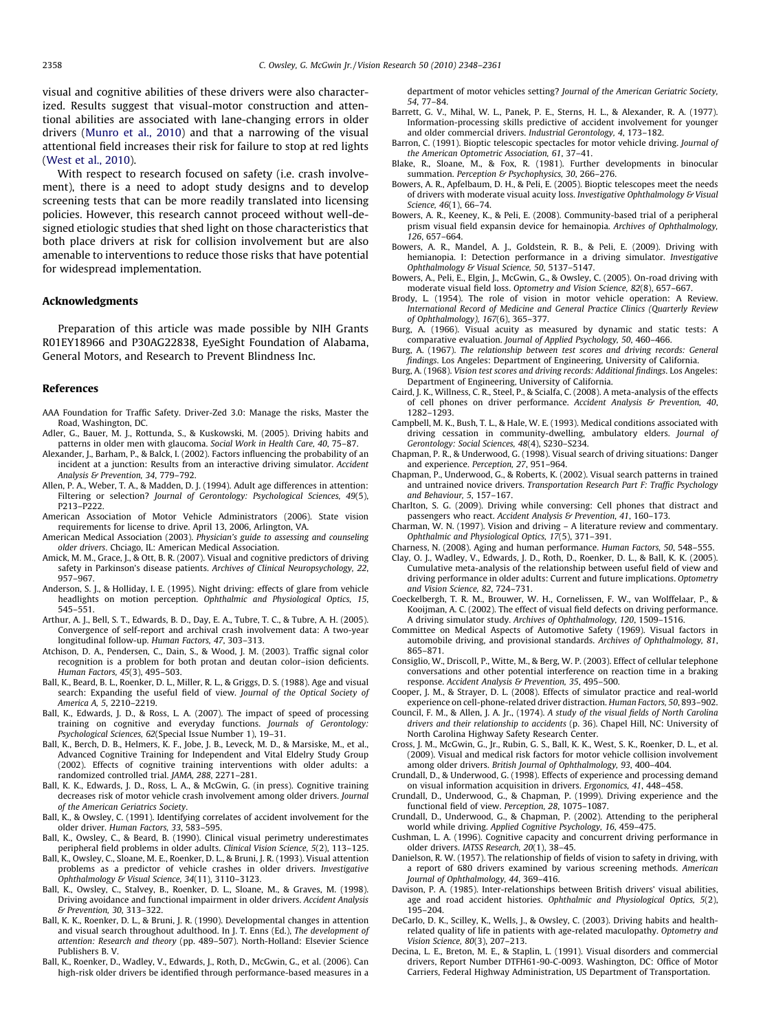<span id="page-10-0"></span>visual and cognitive abilities of these drivers were also characterized. Results suggest that visual-motor construction and attentional abilities are associated with lane-changing errors in older drivers ([Munro et al., 2010\)](#page-12-0) and that a narrowing of the visual attentional field increases their risk for failure to stop at red lights ([West et al., 2010\)](#page-13-0).

With respect to research focused on safety (i.e. crash involvement), there is a need to adopt study designs and to develop screening tests that can be more readily translated into licensing policies. However, this research cannot proceed without well-designed etiologic studies that shed light on those characteristics that both place drivers at risk for collision involvement but are also amenable to interventions to reduce those risks that have potential for widespread implementation.

#### Acknowledgments

Preparation of this article was made possible by NIH Grants R01EY18966 and P30AG22838, EyeSight Foundation of Alabama, General Motors, and Research to Prevent Blindness Inc.

#### References

- AAA Foundation for Traffic Safety. Driver-Zed 3.0: Manage the risks, Master the Road, Washington, DC.
- Adler, G., Bauer, M. J., Rottunda, S., & Kuskowski, M. (2005). Driving habits and patterns in older men with glaucoma. Social Work in Health Care, 40, 75–87.
- Alexander, J., Barham, P., & Balck, I. (2002). Factors influencing the probability of an incident at a junction: Results from an interactive driving simulator. Accident Analysis & Prevention, 34, 779–792.
- Allen, P. A., Weber, T. A., & Madden, D. J. (1994). Adult age differences in attention: Filtering or selection? Journal of Gerontology: Psychological Sciences, 49(5), P213–P222.
- American Association of Motor Vehicle Administrators (2006). State vision requirements for license to drive. April 13, 2006, Arlington, VA.
- American Medical Association (2003). Physician's guide to assessing and counseling older drivers. Chciago, IL: American Medical Association.
- Amick, M. M., Grace, J., & Ott, B. R. (2007). Visual and cognitive predictors of driving safety in Parkinson's disease patients. Archives of Clinical Neuropsychology, 22, 957–967.
- Anderson, S. J., & Holliday, I. E. (1995). Night driving: effects of glare from vehicle headlights on motion perception. Ophthalmic and Physiological Optics, 15, 545–551.
- Arthur, A. J., Bell, S. T., Edwards, B. D., Day, E. A., Tubre, T. C., & Tubre, A. H. (2005). Convergence of self-report and archival crash involvement data: A two-year longitudinal follow-up. Human Factors, 47, 303–313.
- Atchison, D. A., Pendersen, C., Dain, S., & Wood, J. M. (2003). Traffic signal color recognition is a problem for both protan and deutan color–ision deficients. Human Factors, 45(3), 495–503.
- Ball, K., Beard, B. L., Roenker, D. L., Miller, R. L., & Griggs, D. S. (1988). Age and visual search: Expanding the useful field of view. Journal of the Optical Society of America A, 5, 2210–2219.
- Ball, K., Edwards, J. D., & Ross, L. A. (2007). The impact of speed of processing training on cognitive and everyday functions. Journals of Gerontology: Psychological Sciences, 62(Special Issue Number 1), 19–31.
- Ball, K., Berch, D. B., Helmers, K. F., Jobe, J. B., Leveck, M. D., & Marsiske, M., et al., Advanced Cognitive Training for Independent and Vital Eldelry Study Group (2002). Effects of cognitive training interventions with older adults: a randomized controlled trial. JAMA, 288, 2271–281.
- Ball, K. K., Edwards, J. D., Ross, L. A., & McGwin, G. (in press). Cognitive training decreases risk of motor vehicle crash involvement among older drivers. Journal of the American Geriatrics Society.
- Ball, K., & Owsley, C. (1991). Identifying correlates of accident involvement for the older driver. Human Factors, 33, 583–595.
- Ball, K., Owsley, C., & Beard, B. (1990). Clinical visual perimetry underestimates peripheral field problems in older adults. Clinical Vision Science, 5(2), 113–125.
- Ball, K., Owsley, C., Sloane, M. E., Roenker, D. L., & Bruni, J. R. (1993). Visual attention problems as a predictor of vehicle crashes in older drivers. Investigative Ophthalmology & Visual Science, 34(11), 3110–3123.
- Ball, K., Owsley, C., Stalvey, B., Roenker, D. L., Sloane, M., & Graves, M. (1998). Driving avoidance and functional impairment in older drivers. Accident Analysis & Prevention, 30, 313–322.
- Ball, K. K., Roenker, D. L., & Bruni, J. R. (1990). Developmental changes in attention and visual search throughout adulthood. In J. T. Enns (Ed.), The development of attention: Research and theory (pp. 489–507). North-Holland: Elsevier Science Publishers B. V.
- Ball, K., Roenker, D., Wadley, V., Edwards, J., Roth, D., McGwin, G., et al. (2006). Can high-risk older drivers be identified through performance-based measures in a

department of motor vehicles setting? Journal of the American Geriatric Society, 54, 77–84.

- Barrett, G. V., Mihal, W. L., Panek, P. E., Sterns, H. L., & Alexander, R. A. (1977). Information-processing skills predictive of accident involvement for younger and older commercial drivers. Industrial Gerontology, 4, 173–182.
- Barron, C. (1991). Bioptic telescopic spectacles for motor vehicle driving. Journal of the American Optometric Association, 61, 37–41.
- Blake, R., Sloane, M., & Fox, R. (1981). Further developments in binocular summation. Perception & Psychophysics, 30, 266–276.
- Bowers, A. R., Apfelbaum, D. H., & Peli, E. (2005). Bioptic telescopes meet the needs of drivers with moderate visual acuity loss. Investigative Ophthalmology & Visual Science, 46(1), 66–74.
- Bowers, A. R., Keeney, K., & Peli, E. (2008). Community-based trial of a peripheral prism visual field expansin device for hemainopia. Archives of Ophthalmology, 126, 657–664.
- Bowers, A. R., Mandel, A. J., Goldstein, R. B., & Peli, E. (2009). Driving with hemianopia. I: Detection performance in a driving simulator. Investigative Ophthalmology & Visual Science, 50, 5137–5147.
- Bowers, A., Peli, E., Elgin, J., McGwin, G., & Owsley, C. (2005). On-road driving with moderate visual field loss. Optometry and Vision Science, 82(8), 657–667.
- Brody, L. (1954). The role of vision in motor vehicle operation: A Review. International Record of Medicine and General Practice Clinics (Quarterly Review of Ophthalmology), 167(6), 365–377.
- Burg, A. (1966). Visual acuity as measured by dynamic and static tests: A comparative evaluation. Journal of Applied Psychology, 50, 460–466.
- Burg, A. (1967). The relationship between test scores and driving records: General findings. Los Angeles: Department of Engineering, University of California.
- Burg, A. (1968). Vision test scores and driving records: Additional findings. Los Angeles: Department of Engineering, University of California.
- Caird, J. K., Willness, C. R., Steel, P., & Scialfa, C. (2008). A meta-analysis of the effects of cell phones on driver performance. Accident Analysis & Prevention, 40, 1282–1293.
- Campbell, M. K., Bush, T. L., & Hale, W. E. (1993). Medical conditions associated with driving cessation in community-dwelling, ambulatory elders. Journal of Gerontology: Social Sciences, 48(4), S230–S234.
- Chapman, P. R., & Underwood, G. (1998). Visual search of driving situations: Danger and experience. Perception, 27, 951–964.
- Chapman, P., Underwood, G., & Roberts, K. (2002). Visual search patterns in trained and untrained novice drivers. Transportation Research Part F: Traffic Psychology and Behaviour, 5, 157–167.
- Charlton, S. G. (2009). Driving while conversing: Cell phones that distract and passengers who react. Accident Analysis & Prevention, 41, 160–173.
- Charman, W. N. (1997). Vision and driving A literature review and commentary. Ophthalmic and Physiological Optics, 17(5), 371–391.
- Charness, N. (2008). Aging and human performance. Human Factors, 50, 548–555.
- Clay, O. J., Wadley, V., Edwards, J. D., Roth, D., Roenker, D. L., & Ball, K. K. (2005). Cumulative meta-analysis of the relationship between useful field of view and driving performance in older adults: Current and future implications. Optometry and Vision Science, 82, 724–731.
- Coeckelbergh, T. R. M., Brouwer, W. H., Cornelissen, F. W., van Wolffelaar, P., & Kooijman, A. C. (2002). The effect of visual field defects on driving performance. A driving simulator study. Archives of Ophthalmology, 120, 1509–1516.
- Committee on Medical Aspects of Automotive Safety (1969). Visual factors in automobile driving, and provisional standards. Archives of Ophthalmology, 81, 865–871.
- Consiglio, W., Driscoll, P., Witte, M., & Berg, W. P. (2003). Effect of cellular telephone conversations and other potential interference on reaction time in a braking response. Accident Analysis & Prevention, 35, 495–500.

Cooper, J. M., & Strayer, D. L. (2008). Effects of simulator practice and real-world experience on cell-phone-related driver distraction. Human Factors, 50, 893–902.

- Council, F. M., & Allen, J. A. Jr., (1974). A study of the visual fields of North Carolina drivers and their relationship to accidents (p. 36). Chapel Hill, NC: University of North Carolina Highway Safety Research Center.
- Cross, J. M., McGwin, G., Jr., Rubin, G. S., Ball, K. K., West, S. K., Roenker, D. L., et al. (2009). Visual and medical risk factors for motor vehicle collision involvement among older drivers. British Journal of Ophthalmology, 93, 400–404.
- Crundall, D., & Underwood, G. (1998). Effects of experience and processing demand on visual information acquisition in drivers. Ergonomics, 41, 448–458.
- Crundall, D., Underwood, G., & Chapman, P. (1999). Driving experience and the functional field of view. Perception, 28, 1075–1087. Crundall, D., Underwood, G., & Chapman, P. (2002). Attending to the peripheral
- world while driving. Applied Cognitive Psychology, 16, 459–475.
- Cushman, L. A. (1996). Cognitive capacity and concurrent driving performance in older drivers. IATSS Research, 20(1), 38–45.
- Danielson, R. W. (1957). The relationship of fields of vision to safety in driving, with a report of 680 drivers examined by various screening methods. American Journal of Ophthalmology, 44, 369–416.
- Davison, P. A. (1985). Inter-relationships between British drivers' visual abilities, age and road accident histories. Ophthalmic and Physiological Optics, 5(2), 195–204.
- DeCarlo, D. K., Scilley, K., Wells, J., & Owsley, C. (2003). Driving habits and healthrelated quality of life in patients with age-related maculopathy. Optometry and Vision Science, 80(3), 207–213.
- Decina, L. E., Breton, M. E., & Staplin, L. (1991). Visual disorders and commercial drivers, Report Number DTFH61-90-C-0093. Washington, DC: Office of Motor Carriers, Federal Highway Administration, US Department of Transportation.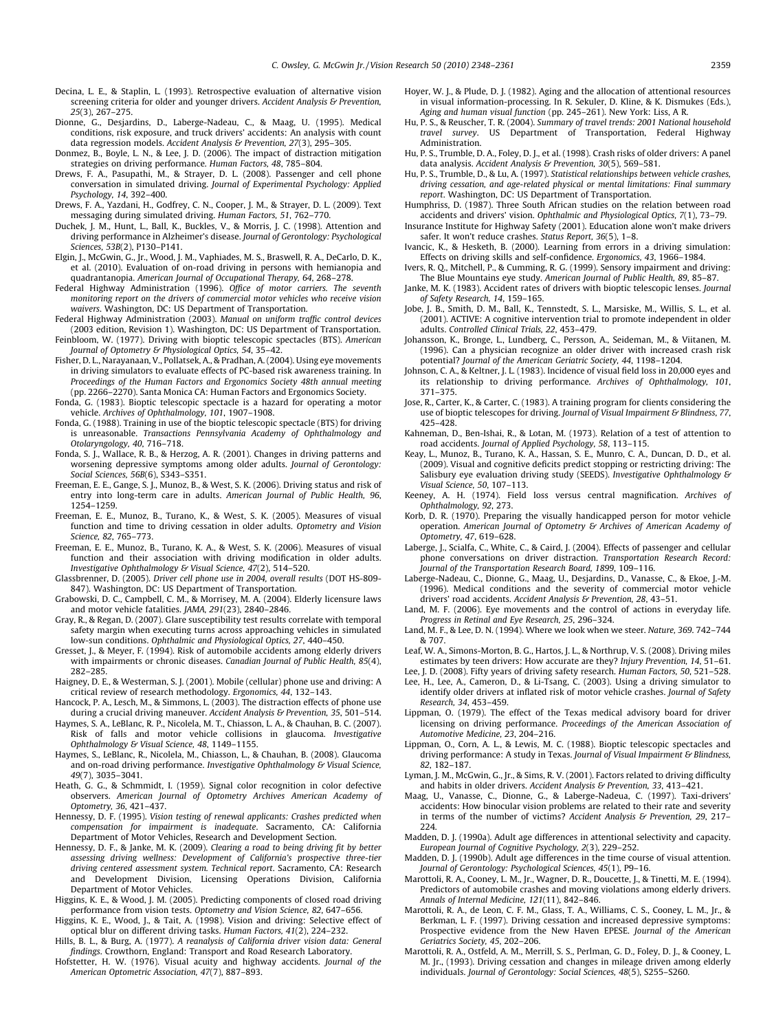- <span id="page-11-0"></span>Decina, L. E., & Staplin, L. (1993). Retrospective evaluation of alternative vision screening criteria for older and younger drivers. Accident Analysis & Prevention, 25(3), 267–275.
- Dionne, G., Desjardins, D., Laberge-Nadeau, C., & Maag, U. (1995). Medical conditions, risk exposure, and truck drivers' accidents: An analysis with count data regression models. Accident Analysis & Prevention, 27(3), 295-305.
- Donmez, B., Boyle, L. N., & Lee, J. D. (2006). The impact of distraction mitigation strategies on driving performance. Human Factors, 48, 785–804.
- Drews, F. A., Pasupathi, M., & Strayer, D. L. (2008). Passenger and cell phone conversation in simulated driving. Journal of Experimental Psychology: Applied Psychology, 14, 392–400.
- Drews, F. A., Yazdani, H., Godfrey, C. N., Cooper, J. M., & Strayer, D. L. (2009). Text messaging during simulated driving. Human Factors, 51, 762–770.
- Duchek, J. M., Hunt, L., Ball, K., Buckles, V., & Morris, J. C. (1998). Attention and driving performance in Alzheimer's disease. Journal of Gerontology: Psychological Sciences, 53B(2), P130–P141.
- Elgin, J., McGwin, G., Jr., Wood, J. M., Vaphiades, M. S., Braswell, R. A., DeCarlo, D. K., et al. (2010). Evaluation of on-road driving in persons with hemianopia and quadrantanopia. American Journal of Occupational Therapy, 64, 268–278.
- Federal Highway Administration (1996). Office of motor carriers. The seventh monitoring report on the drivers of commercial motor vehicles who receive vision waivers. Washington, DC: US Department of Transportation.
- Federal Highway Administration (2003). Manual on uniform traffic control devices (2003 edition, Revision 1). Washington, DC: US Department of Transportation.

Feinbloom, W. (1977). Driving with bioptic telescopic spectacles (BTS). American Journal of Optometry & Physiological Optics, 54, 35–42.

- Fisher, D. L., Narayanaan, V., Pollatsek, A., & Pradhan, A. (2004). Using eye movements in driving simulators to evaluate effects of PC-based risk awareness training. In Proceedings of the Human Factors and Ergonomics Society 48th annual meeting (pp. 2266–2270). Santa Monica CA: Human Factors and Ergonomics Society.
- Fonda, G. (1983). Bioptic telescopic spectacle is a hazard for operating a motor vehicle. Archives of Ophthalmology, 101, 1907–1908.
- Fonda, G. (1988). Training in use of the bioptic telescopic spectacle (BTS) for driving is unreasonable. Transactions Pennsylvania Academy of Ophthalmology and Otolaryngology, 40, 716–718.
- Fonda, S. J., Wallace, R. B., & Herzog, A. R. (2001). Changes in driving patterns and worsening depressive symptoms among older adults. Journal of Gerontology: Social Sciences, 56B(6), S343–S351.
- Freeman, E. E., Gange, S. J., Munoz, B., & West, S. K. (2006). Driving status and risk of entry into long-term care in adults. American Journal of Public Health, 96, 1254–1259.
- Freeman, E. E., Munoz, B., Turano, K., & West, S. K. (2005). Measures of visual function and time to driving cessation in older adults. Optometry and Vision Science, 82, 765–773.
- Freeman, E. E., Munoz, B., Turano, K. A., & West, S. K. (2006). Measures of visual function and their association with driving modification in older adults. Investigative Ophthalmology & Visual Science, 47(2), 514–520.
- Glassbrenner, D. (2005). Driver cell phone use in 2004, overall results (DOT HS-809- 847). Washington, DC: US Department of Transportation.
- Grabowski, D. C., Campbell, C. M., & Morrisey, M. A. (2004). Elderly licensure laws and motor vehicle fatalities. JAMA, 291(23), 2840–2846.
- Gray, R., & Regan, D. (2007). Glare susceptibility test results correlate with temporal safety margin when executing turns across approaching vehicles in simulated low-sun conditions. Ophthalmic and Physiological Optics, 27, 440–450.
- Gresset, J., & Meyer, F. (1994). Risk of automobile accidents among elderly drivers with impairments or chronic diseases. Canadian Journal of Public Health, 85(4), 282–285.
- Haigney, D. E., & Westerman, S. J. (2001). Mobile (cellular) phone use and driving: A critical review of research methodology. Ergonomics, 44, 132–143.

Hancock, P. A., Lesch, M., & Simmons, L. (2003). The distraction effects of phone use during a crucial driving maneuver. Accident Analysis & Prevention, 35, 501-514.

Haymes, S. A., LeBlanc, R. P., Nicolela, M. T., Chiasson, L. A., & Chauhan, B. C. (2007). Risk of falls and motor vehicle collisions in glaucoma. Investigative Ophthalmology & Visual Science, 48, 1149–1155.

Haymes, S., LeBlanc, R., Nicolela, M., Chiasson, L., & Chauhan, B. (2008). Glaucoma and on-road driving performance. Investigative Ophthalmology & Visual Science, 49(7), 3035–3041.

Heath, G. G., & Schmmidt, I. (1959). Signal color recognition in color defective observers. American Journal of Optometry Archives American Academy of Optometry, 36, 421–437.

- Hennessy, D. F. (1995). Vision testing of renewal applicants: Crashes predicted when compensation for impairment is inadequate. Sacramento, CA: California Department of Motor Vehicles, Research and Development Section.
- Hennessy, D. F., & Janke, M. K. (2009). Clearing a road to being driving fit by better assessing driving wellness: Development of California's prospective three-tier driving centered assessment system. Technical report. Sacramento, CA: Research and Development Division, Licensing Operations Division, California Department of Motor Vehicles.
- Higgins, K. E., & Wood, J. M. (2005). Predicting components of closed road driving performance from vision tests. Optometry and Vision Science, 82, 647–656.

Higgins, K. E., Wood, J., & Tait, A. (1998). Vision and driving: Selective effect of optical blur on different driving tasks. Human Factors, 41(2), 224–232.

- Hills, B. L., & Burg, A. (1977). A reanalysis of California driver vision data: General findings. Crowthorn, England: Transport and Road Research Laboratory.
- Hofstetter, H. W. (1976). Visual acuity and highway accidents. Journal of the American Optometric Association, 47(7), 887–893.
- Hoyer, W. J., & Plude, D. J. (1982). Aging and the allocation of attentional resources in visual information-processing. In R. Sekuler, D. Kline, & K. Dismukes (Eds.), Aging and human visual function (pp. 245–261). New York: Liss, A R.
- Hu, P. S., & Reuscher, T. R. (2004). Summary of travel trends: 2001 National household<br>travel survey. US Department of Transportation, Federal Highway US Department of Transportation, Federal Highway Administration.
- Hu, P. S., Trumble, D. A., Foley, D. J., et al. (1998). Crash risks of older drivers: A panel data analysis. Accident Analysis & Prevention, 30(5), 569–581.
- Hu, P. S., Trumble, D., & Lu, A. (1997). Statistical relationships between vehicle crashes, driving cessation, and age-related physical or mental limitations: Final summary report. Washington, DC: US Department of Transportation.

Humphriss, D. (1987). Three South African studies on the relation between road accidents and drivers' vision. Ophthalmic and Physiological Optics, 7(1), 73–79.

- Insurance Institute for Highway Safety (2001). Education alone won't make drivers safer. It won't reduce crashes. Status Report, 36(5), 1–8. Ivancic, K., & Hesketh, B. (2000). Learning from errors in a driving simulation:
- Effects on driving skills and self-confidence. Ergonomics, 43, 1966–1984.
- Ivers, R. Q., Mitchell, P., & Cumming, R. G. (1999). Sensory impairment and driving: The Blue Mountains eye study. American Journal of Public Health, 89, 85–87.
- Janke, M. K. (1983). Accident rates of drivers with bioptic telescopic lenses. Journal of Safety Research, 14, 159–165.
- Jobe, J. B., Smith, D. M., Ball, K., Tennstedt, S. L., Marsiske, M., Willis, S. L., et al. (2001). ACTIVE: A cognitive intervention trial to promote independent in older adults. Controlled Clinical Trials, 22, 453–479.
- Johansson, K., Bronge, L., Lundberg, C., Persson, A., Seideman, M., & Viitanen, M. (1996). Can a physician recognize an older driver with increased crash risk potential? Journal of the American Geriatric Society, 44, 1198–1204.
- Johnson, C. A., & Keltner, J. L. (1983). Incidence of visual field loss in 20,000 eyes and its relationship to driving performance. Archives of Ophthalmology, 101, 371–375.
- Jose, R., Carter, K., & Carter, C. (1983). A training program for clients considering the use of bioptic telescopes for driving. Journal of Visual Impairment & Blindness, 77, 425–428.
- Kahneman, D., Ben-Ishai, R., & Lotan, M. (1973). Relation of a test of attention to road accidents. Journal of Applied Psychology, 58, 113–115.
- Keay, L., Munoz, B., Turano, K. A., Hassan, S. E., Munro, C. A., Duncan, D. D., et al. (2009). Visual and cognitive deficits predict stopping or restricting driving: The Salisbury eye evaluation driving study (SEEDS). Investigative Ophthalmology & Visual Science, 50, 107–113.
- Keeney, A. H. (1974). Field loss versus central magnification. Archives of Ophthalmology, 92, 273.
- Korb, D. R. (1970). Preparing the visually handicapped person for motor vehicle operation. American Journal of Optometry & Archives of American Academy of Optometry, 47, 619–628.
- Laberge, J., Scialfa, C., White, C., & Caird, J. (2004). Effects of passenger and cellular phone conversations on driver distraction. Transportation Research Record: Journal of the Transportation Research Board, 1899, 109–116.
- Laberge-Nadeau, C., Dionne, G., Maag, U., Desjardins, D., Vanasse, C., & Ekoe, J.-M. (1996). Medical conditions and the severity of commercial motor vehicle drivers' road accidents. Accident Analysis & Prevention, 28, 43–51.
- Land, M. F. (2006). Eye movements and the control of actions in everyday life. Progress in Retinal and Eye Research, 25, 296–324.
- Land, M. F., & Lee, D. N. (1994). Where we look when we steer. Nature, 369. 742–744 & 707.
- Leaf, W. A., Simons-Morton, B. G., Hartos, J. L., & Northrup, V. S. (2008). Driving miles estimates by teen drivers: How accurate are they? Injury Prevention, 14, 51–61.
- Lee, J. D. (2008). Fifty years of driving safety research. Human Factors, 50, 521–528.
- Lee, H., Lee, A., Cameron, D., & Li-Tsang, C. (2003). Using a driving simulator to identify older drivers at inflated risk of motor vehicle crashes. Journal of Safety Research, 34, 453–459.
- Lippman, O. (1979). The effect of the Texas medical advisory board for driver licensing on driving performance. Proceedings of the American Association of Automotive Medicine, 23, 204–216.
- Lippman, O., Corn, A. L., & Lewis, M. C. (1988). Bioptic telescopic spectacles and driving performance: A study in Texas. Journal of Visual Impairment & Blindness, 82, 182–187.
- Lyman, J. M., McGwin, G., Jr., & Sims, R. V. (2001). Factors related to driving difficulty and habits in older drivers. Accident Analysis & Prevention, 33, 413–421.
- Maag, U., Vanasse, C., Dionne, G., & Laberge-Nadeua, C. (1997). Taxi-drivers' accidents: How binocular vision problems are related to their rate and severity in terms of the number of victims? Accident Analysis & Prevention, 29, 217– 224.
- Madden, D. J. (1990a). Adult age differences in attentional selectivity and capacity. European Journal of Cognitive Psychology, 2(3), 229–252.
- Madden, D. J. (1990b). Adult age differences in the time course of visual attention. Journal of Gerontology: Psychological Sciences, 45(1), P9–16.
- Marottoli, R. A., Cooney, L. M., Jr., Wagner, D. R., Doucette, J., & Tinetti, M. E. (1994). Predictors of automobile crashes and moving violations among elderly drivers. Annals of Internal Medicine, 121(11), 842–846.
- Marottoli, R. A., de Leon, C. F. M., Glass, T. A., Williams, C. S., Cooney, L. M., Jr., & Berkman, L. F. (1997). Driving cessation and increased depressive symptoms: Prospective evidence from the New Haven EPESE. Journal of the American Geriatrics Society, 45, 202–206.
- Marottoli, R. A., Ostfeld, A. M., Merrill, S. S., Perlman, G. D., Foley, D. J., & Cooney, L. M. Jr., (1993). Driving cessation and changes in mileage driven among elderly individuals. Journal of Gerontology: Social Sciences, 48(5), S255–S260.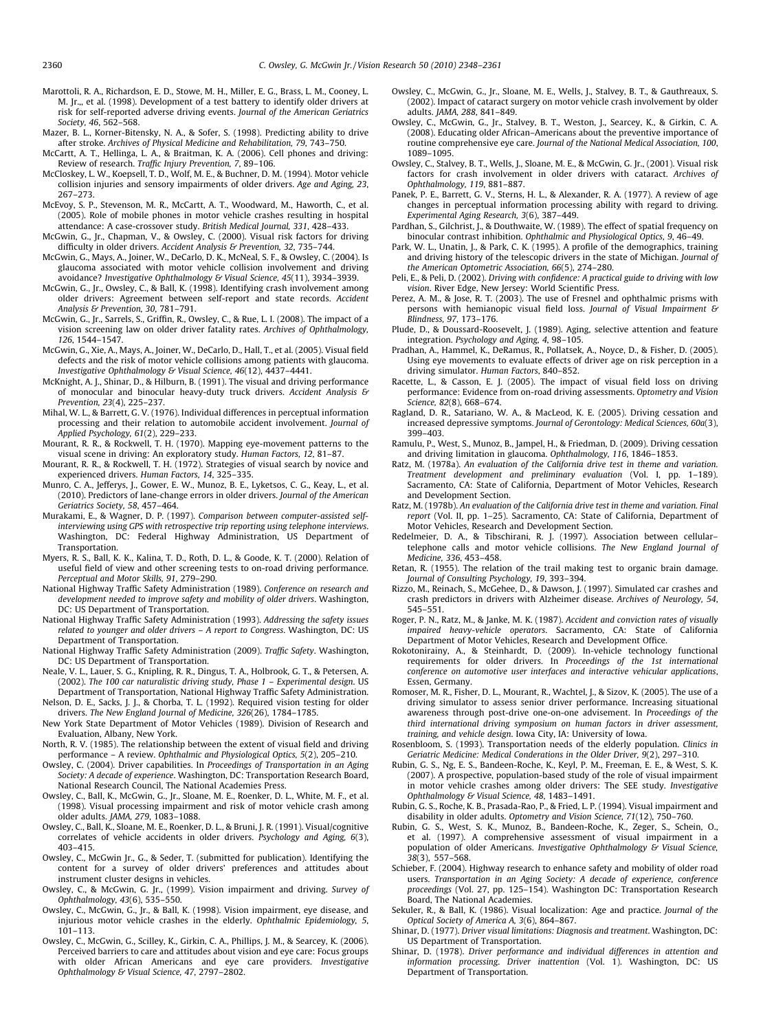<span id="page-12-0"></span>Marottoli, R. A., Richardson, E. D., Stowe, M. H., Miller, E. G., Brass, L. M., Cooney, L. M. Jr.,, et al. (1998). Development of a test battery to identify older drivers at risk for self-reported adverse driving events. Journal of the American Geriatrics Society, 46, 562–568.

- Mazer, B. L., Korner-Bitensky, N. A., & Sofer, S. (1998). Predicting ability to drive after stroke. Archives of Physical Medicine and Rehabilitation, 79, 743–750.
- McCartt, A. T., Hellinga, L. A., & Braitman, K. A. (2006). Cell phones and driving: Review of research. Traffic Injury Prevention, 7, 89–106.
- McCloskey, L. W., Koepsell, T. D., Wolf, M. E., & Buchner, D. M. (1994). Motor vehicle collision injuries and sensory impairments of older drivers. Age and Aging, 23, 267–273.
- McEvoy, S. P., Stevenson, M. R., McCartt, A. T., Woodward, M., Haworth, C., et al. (2005). Role of mobile phones in motor vehicle crashes resulting in hospital attendance: A case-crossover study. British Medical Journal, 331, 428–433.
- McGwin, G., Jr., Chapman, V., & Owsley, C. (2000). Visual risk factors for driving difficulty in older drivers. Accident Analysis & Prevention, 32, 735-744.
- McGwin, G., Mays, A., Joiner, W., DeCarlo, D. K., McNeal, S. F., & Owsley, C. (2004). Is glaucoma associated with motor vehicle collision involvement and driving avoidance? Investigative Ophthalmology & Visual Science, 45(11), 3934–3939.
- McGwin, G., Jr., Owsley, C., & Ball, K. (1998). Identifying crash involvement among older drivers: Agreement between self-report and state records. Accident Analysis & Prevention, 30, 781–791.
- McGwin, G., Jr., Sarrels, S., Griffin, R., Owsley, C., & Rue, L. I. (2008). The impact of a vision screening law on older driver fatality rates. Archives of Ophthalmology, 126, 1544–1547.
- McGwin, G., Xie, A., Mays, A., Joiner, W., DeCarlo, D., Hall, T., et al. (2005). Visual field defects and the risk of motor vehicle collisions among patients with glaucoma. Investigative Ophthalmology & Visual Science, 46(12), 4437–4441.
- McKnight, A. J., Shinar, D., & Hilburn, B. (1991). The visual and driving performance of monocular and binocular heavy-duty truck drivers. Accident Analysis & Prevention, 23(4), 225–237.
- Mihal, W. L., & Barrett, G. V. (1976). Individual differences in perceptual information processing and their relation to automobile accident involvement. Journal of Applied Psychology, 61(2), 229–233.
- Mourant, R. R., & Rockwell, T. H. (1970). Mapping eye-movement patterns to the visual scene in driving: An exploratory study. Human Factors, 12, 81–87.
- Mourant, R. R., & Rockwell, T. H. (1972). Strategies of visual search by novice and experienced drivers. Human Factors, 14, 325–335.
- Munro, C. A., Jefferys, J., Gower, E. W., Munoz, B. E., Lyketsos, C. G., Keay, L., et al. (2010). Predictors of lane-change errors in older drivers. Journal of the American Geriatrics Society, 58, 457–464.
- Murakami, E., & Wagner, D. P. (1997). Comparison between computer-assisted selfinterviewing using GPS with retrospective trip reporting using telephone interviews. Washington, DC: Federal Highway Administration, US Department of Transportation.
- Myers, R. S., Ball, K. K., Kalina, T. D., Roth, D. L., & Goode, K. T. (2000). Relation of useful field of view and other screening tests to on-road driving performance. Perceptual and Motor Skills, 91, 279–290.
- National Highway Traffic Safety Administration (1989). Conference on research and development needed to improve safety and mobility of older drivers. Washington, DC: US Department of Transportation.
- National Highway Traffic Safety Administration (1993). Addressing the safety issues related to younger and older drivers – A report to Congress. Washington, DC: US Department of Transportation.
- National Highway Traffic Safety Administration (2009). Traffic Safety. Washington, DC: US Department of Transportation.
- Neale, V. L., Lauer, S. G., Knipling, R. R., Dingus, T. A., Holbrook, G. T., & Petersen, A. (2002). The 100 car naturalistic driving study, Phase 1 – Experimental design. US Department of Transportation, National Highway Traffic Safety Administration.
- Nelson, D. E., Sacks, J. J., & Chorba, T. L. (1992). Required vision testing for older drivers. The New England Journal of Medicine, 326(26), 1784–1785.
- New York State Department of Motor Vehicles (1989). Division of Research and Evaluation, Albany, New York. North, R. V. (1985). The relationship between the extent of visual field and driving
- performance A review. Ophthalmic and Physiological Optics, 5(2), 205–210.
- Owsley, C. (2004). Driver capabilities. In Proceedings of Transportation in an Aging Society: A decade of experience. Washington, DC: Transportation Research Board, National Research Council, The National Academies Press.
- Owsley, C., Ball, K., McGwin, G., Jr., Sloane, M. E., Roenker, D. L., White, M. F., et al. (1998). Visual processing impairment and risk of motor vehicle crash among older adults. JAMA, 279, 1083–1088.
- Owsley, C., Ball, K., Sloane, M. E., Roenker, D. L., & Bruni, J. R. (1991). Visual/cognitive correlates of vehicle accidents in older drivers. Psychology and Aging, 6(3), 403–415.
- Owsley, C., McGwin Jr., G., & Seder, T. (submitted for publication). Identifying the content for a survey of older drivers' preferences and attitudes about instrument cluster designs in vehicles.
- Owsley, C., & McGwin, G. Jr., (1999). Vision impairment and driving. Survey of Ophthalmology, 43(6), 535–550.
- Owsley, C., McGwin, G., Jr., & Ball, K. (1998). Vision impairment, eye disease, and injurious motor vehicle crashes in the elderly. Ophthalmic Epidemiology, 5, 101–113.
- Owsley, C., McGwin, G., Scilley, K., Girkin, C. A., Phillips, J. M., & Searcey, K. (2006). Perceived barriers to care and attitudes about vision and eye care: Focus groups with older African Americans and eye care providers. Investigative Ophthalmology & Visual Science, 47, 2797–2802.
- Owsley, C., McGwin, G., Jr., Sloane, M. E., Wells, J., Stalvey, B. T., & Gauthreaux, S. (2002). Impact of cataract surgery on motor vehicle crash involvement by older adults. JAMA, 288, 841–849.
- Owsley, C., McGwin, G., Jr., Stalvey, B. T., Weston, J., Searcey, K., & Girkin, C. A. (2008). Educating older African–Americans about the preventive importance of routine comprehensive eye care. Journal of the National Medical Association, 100, 1089–1095.
- Owsley, C., Stalvey, B. T., Wells, J., Sloane, M. E., & McGwin, G. Jr., (2001). Visual risk factors for crash involvement in older drivers with cataract. Archives of Ophthalmology, 119, 881–887.
- Panek, P. E., Barrett, G. V., Sterns, H. L., & Alexander, R. A. (1977). A review of age changes in perceptual information processing ability with regard to driving. Experimental Aging Research, 3(6), 387–449.
- Pardhan, S., Gilchrist, J., & Douthwaite, W. (1989). The effect of spatial frequency on binocular contrast inhibition. Ophthalmic and Physiological Optics, 9, 46–49.
- Park, W. L., Unatin, J., & Park, C. K. (1995). A profile of the demographics, training and driving history of the telescopic drivers in the state of Michigan. Journal of the American Optometric Association, 66(5), 274–280.
- Peli, E., & Peli, D. (2002). Driving with confidence: A practical guide to driving with low vision. River Edge, New Jersey: World Scientific Press.
- Perez, A. M., & Jose, R. T. (2003). The use of Fresnel and ophthalmic prisms with persons with hemianopic visual field loss. Journal of Visual Impairment & Blindness, 97, 173–176.
- Plude, D., & Doussard-Roosevelt, J. (1989). Aging, selective attention and feature integration. Psychology and Aging, 4, 98–105.
- Pradhan, A., Hammel, K., DeRamus, R., Pollatsek, A., Noyce, D., & Fisher, D. (2005). Using eye movements to evaluate effects of driver age on risk perception in a driving simulator. Human Factors, 840–852.
- Racette, L., & Casson, E. J. (2005). The impact of visual field loss on driving performance: Evidence from on-road driving assessments. Optometry and Vision Science, 82(8), 668–674.
- Ragland, D. R., Satariano, W. A., & MacLeod, K. E. (2005). Driving cessation and increased depressive symptoms. Journal of Gerontology: Medical Sciences, 60a(3), 399–403.
- Ramulu, P., West, S., Munoz, B., Jampel, H., & Friedman, D. (2009). Driving cessation and driving limitation in glaucoma. Ophthalmology, 116, 1846–1853.
- Ratz, M. (1978a). An evaluation of the California drive test in theme and variation. Treatment development and preliminary evaluation (Vol. I, pp. 1–189). Sacramento, CA: State of California, Department of Motor Vehicles, Research and Development Section.
- Ratz, M. (1978b). An evaluation of the California drive test in theme and variation. Final report (Vol. II, pp. 1–25). Sacramento, CA: State of California, Department of Motor Vehicles, Research and Development Section.
- Redelmeier, D. A., & Tibschirani, R. J. (1997). Association between cellular– telephone calls and motor vehicle collisions. The New England Journal of Medicine, 336, 453–458.
- Retan, R. (1955). The relation of the trail making test to organic brain damage. Journal of Consulting Psychology, 19, 393–394.
- Rizzo, M., Reinach, S., McGehee, D., & Dawson, J. (1997). Simulated car crashes and crash predictors in drivers with Alzheimer disease. Archives of Neurology, 54, 545–551.
- Roger, P. N., Ratz, M., & Janke, M. K. (1987). Accident and conviction rates of visually impaired heavy-vehicle operators. Sacramento, CA: State of California
- Department of Motor Vehicles, Research and Development Office. Rokotonirainy, A., & Steinhardt, D. (2009). In-vehicle technology functional requirements for older drivers. In Proceedings of the 1st international conference on automotive user interfaces and interactive vehicular applications, Essen, Germany.
- Romoser, M. R., Fisher, D. L., Mourant, R., Wachtel, J., & Sizov, K. (2005). The use of a driving simulator to assess senior driver performance. Increasing situational awareness through post-drive one-on-one advisement. In Proceedings of the third international driving symposium on human factors in driver assessment, training, and vehicle design. Iowa City, IA: University of Iowa.
- Rosenbloom, S. (1993). Transportation needs of the elderly population. Clinics in Geriatric Medicine: Medical Conderations in the Older Driver, 9(2), 297–310.
- Rubin, G. S., Ng, E. S., Bandeen-Roche, K., Keyl, P. M., Freeman, E. E., & West, S. K. (2007). A prospective, population-based study of the role of visual impairment in motor vehicle crashes among older drivers: The SEE study. Investigative Ophthalmology & Visual Science, 48, 1483–1491.
- Rubin, G. S., Roche, K. B., Prasada-Rao, P., & Fried, L. P. (1994). Visual impairment and disability in older adults. Optometry and Vision Science, 71(12), 750–760.
- Rubin, G. S., West, S. K., Munoz, B., Bandeen-Roche, K., Zeger, S., Schein, O., et al. (1997). A comprehensive assessment of visual impairment in a population of older Americans. Investigative Ophthalmology & Visual Science, 38(3), 557–568.
- Schieber, F. (2004). Highway research to enhance safety and mobility of older road users. Transportation in an Aging Society: A decade of experience, conference proceedings (Vol. 27, pp. 125–154). Washington DC: Transportation Research Board, The National Academies.
- Sekuler, R., & Ball, K. (1986). Visual localization: Age and practice. Journal of the Optical Society of America A, 3(6), 864–867.
- Shinar, D. (1977). Driver visual limitations: Diagnosis and treatment. Washington, DC: US Department of Transportation.
- Shinar, D. (1978). Driver performance and individual differences in attention and information processing. Driver inattention (Vol. 1). Washington, DC: US Department of Transportation.